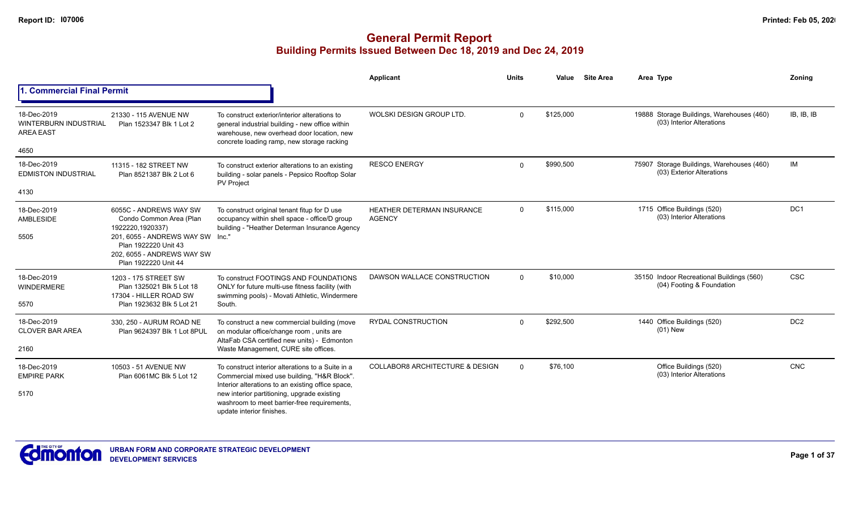|                                                                         |                                                                                                                                                                                         |                                                                                                                                                                                                                                                                                  | <b>Applicant</b>                                   | <b>Units</b> | Value     | <b>Site Area</b> | Area Type                                                              | Zoning          |
|-------------------------------------------------------------------------|-----------------------------------------------------------------------------------------------------------------------------------------------------------------------------------------|----------------------------------------------------------------------------------------------------------------------------------------------------------------------------------------------------------------------------------------------------------------------------------|----------------------------------------------------|--------------|-----------|------------------|------------------------------------------------------------------------|-----------------|
| <b>Commercial Final Permit</b>                                          |                                                                                                                                                                                         |                                                                                                                                                                                                                                                                                  |                                                    |              |           |                  |                                                                        |                 |
| 18-Dec-2019<br><b>WINTERBURN INDUSTRIAL</b><br><b>AREA EAST</b><br>4650 | 21330 - 115 AVENUE NW<br>Plan 1523347 Blk 1 Lot 2                                                                                                                                       | To construct exterior/interior alterations to<br>general industrial building - new office within<br>warehouse, new overhead door location, new<br>concrete loading ramp, new storage racking                                                                                     | WOLSKI DESIGN GROUP LTD.                           | $\Omega$     | \$125,000 |                  | 19888 Storage Buildings, Warehouses (460)<br>(03) Interior Alterations | IB. IB. IB      |
| 18-Dec-2019<br><b>EDMISTON INDUSTRIAL</b>                               | 11315 - 182 STREET NW<br>Plan 8521387 Blk 2 Lot 6                                                                                                                                       | To construct exterior alterations to an existing<br>building - solar panels - Pepsico Rooftop Solar<br><b>PV Project</b>                                                                                                                                                         | <b>RESCO ENERGY</b>                                | $\Omega$     | \$990,500 |                  | 75907 Storage Buildings, Warehouses (460)<br>(03) Exterior Alterations | <b>IM</b>       |
| 4130<br>18-Dec-2019<br>AMBLESIDE<br>5505                                | 6055C - ANDREWS WAY SW<br>Condo Common Area (Plan<br>1922220,1920337)<br>201, 6055 - ANDREWS WAY SW Inc."<br>Plan 1922220 Unit 43<br>202, 6055 - ANDREWS WAY SW<br>Plan 1922220 Unit 44 | To construct original tenant fitup for D use<br>occupancy within shell space - office/D group<br>building - "Heather Determan Insurance Agency                                                                                                                                   | <b>HEATHER DETERMAN INSURANCE</b><br><b>AGENCY</b> | $\Omega$     | \$115,000 |                  | 1715 Office Buildings (520)<br>(03) Interior Alterations               | DC <sub>1</sub> |
| 18-Dec-2019<br><b>WINDERMERE</b><br>5570                                | 1203 - 175 STREET SW<br>Plan 1325021 Blk 5 Lot 18<br>17304 - HILLER ROAD SW<br>Plan 1923632 Blk 5 Lot 21                                                                                | To construct FOOTINGS AND FOUNDATIONS<br>ONLY for future multi-use fitness facility (with<br>swimming pools) - Movati Athletic, Windermere<br>South.                                                                                                                             | DAWSON WALLACE CONSTRUCTION                        | $\Omega$     | \$10,000  |                  | 35150 Indoor Recreational Buildings (560)<br>(04) Footing & Foundation | <b>CSC</b>      |
| 18-Dec-2019<br><b>CLOVER BAR AREA</b><br>2160                           | 330, 250 - AURUM ROAD NE<br>Plan 9624397 Blk 1 Lot 8PUL                                                                                                                                 | To construct a new commercial building (move<br>on modular office/change room, units are<br>AltaFab CSA certified new units) - Edmonton<br>Waste Management, CURE site offices.                                                                                                  | <b>RYDAL CONSTRUCTION</b>                          | $\Omega$     | \$292,500 |                  | 1440 Office Buildings (520)<br>$(01)$ New                              | DC <sub>2</sub> |
| 18-Dec-2019<br><b>EMPIRE PARK</b><br>5170                               | 10503 - 51 AVENUE NW<br>Plan 6061MC Blk 5 Lot 12                                                                                                                                        | To construct interior alterations to a Suite in a<br>Commercial mixed use building, "H&R Block".<br>Interior alterations to an existing office space,<br>new interior partitioning, upgrade existing<br>washroom to meet barrier-free requirements,<br>update interior finishes. | <b>COLLABOR8 ARCHITECTURE &amp; DESIGN</b>         | $\Omega$     | \$76,100  |                  | Office Buildings (520)<br>(03) Interior Alterations                    | CNC             |

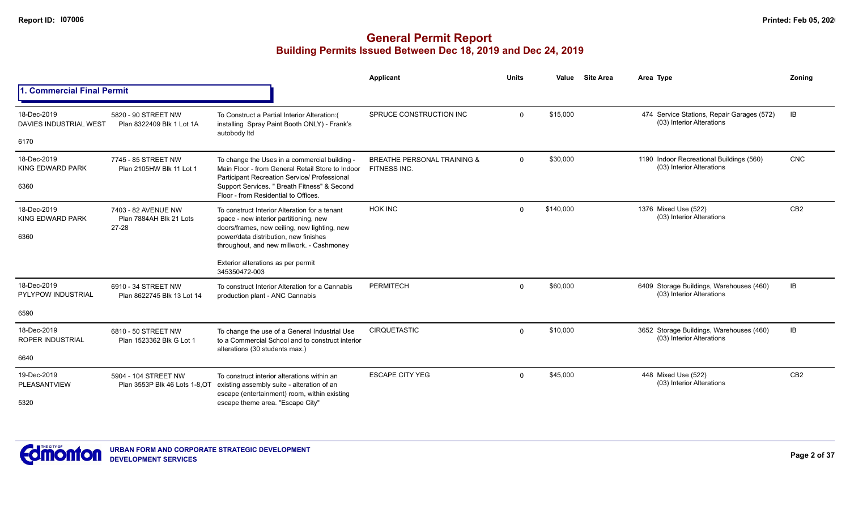|                                              |                                                         |                                                                                                                                                   | <b>Applicant</b>                                       | <b>Units</b> | Value     | <b>Site Area</b> | Area Type                                                               | Zoning          |
|----------------------------------------------|---------------------------------------------------------|---------------------------------------------------------------------------------------------------------------------------------------------------|--------------------------------------------------------|--------------|-----------|------------------|-------------------------------------------------------------------------|-----------------|
| <b>Commercial Final Permit</b>               |                                                         |                                                                                                                                                   |                                                        |              |           |                  |                                                                         |                 |
| 18-Dec-2019<br><b>DAVIES INDUSTRIAL WEST</b> | 5820 - 90 STREET NW<br>Plan 8322409 Blk 1 Lot 1A        | To Construct a Partial Interior Alteration:(<br>installing Spray Paint Booth ONLY) - Frank's<br>autobody Itd                                      | SPRUCE CONSTRUCTION INC                                | $\mathbf{0}$ | \$15,000  |                  | 474 Service Stations, Repair Garages (572)<br>(03) Interior Alterations | IB              |
| 6170                                         |                                                         |                                                                                                                                                   |                                                        |              |           |                  |                                                                         |                 |
| 18-Dec-2019<br>KING EDWARD PARK              | 7745 - 85 STREET NW<br>Plan 2105HW Blk 11 Lot 1         | To change the Uses in a commercial building -<br>Main Floor - from General Retail Store to Indoor<br>Participant Recreation Service/ Professional | <b>BREATHE PERSONAL TRAINING &amp;</b><br>FITNESS INC. | $\Omega$     | \$30,000  |                  | 1190 Indoor Recreational Buildings (560)<br>(03) Interior Alterations   | <b>CNC</b>      |
| 6360                                         |                                                         | Support Services. " Breath Fitness" & Second<br>Floor - from Residential to Offices.                                                              |                                                        |              |           |                  |                                                                         |                 |
| 18-Dec-2019<br><b>KING EDWARD PARK</b>       | 7403 - 82 AVENUE NW<br>Plan 7884AH Blk 21 Lots<br>27-28 | To construct Interior Alteration for a tenant<br>space - new interior partitioning, new                                                           | <b>HOK INC</b>                                         | $\Omega$     | \$140,000 |                  | 1376 Mixed Use (522)<br>(03) Interior Alterations                       | CB <sub>2</sub> |
| 6360                                         |                                                         | doors/frames, new ceiling, new lighting, new<br>power/data distribution, new finishes<br>throughout, and new millwork. - Cashmoney                |                                                        |              |           |                  |                                                                         |                 |
|                                              |                                                         | Exterior alterations as per permit<br>345350472-003                                                                                               |                                                        |              |           |                  |                                                                         |                 |
| 18-Dec-2019<br><b>PYLYPOW INDUSTRIAL</b>     | 6910 - 34 STREET NW<br>Plan 8622745 Blk 13 Lot 14       | To construct Interior Alteration for a Cannabis<br>production plant - ANC Cannabis                                                                | <b>PERMITECH</b>                                       | $\mathbf{0}$ | \$60,000  |                  | 6409 Storage Buildings, Warehouses (460)<br>(03) Interior Alterations   | IB              |
| 6590                                         |                                                         |                                                                                                                                                   |                                                        |              |           |                  |                                                                         |                 |
| 18-Dec-2019<br><b>ROPER INDUSTRIAL</b>       | 6810 - 50 STREET NW<br>Plan 1523362 Blk G Lot 1         | To change the use of a General Industrial Use<br>to a Commercial School and to construct interior<br>alterations (30 students max.)               | CIRQUETASTIC                                           | $\Omega$     | \$10,000  |                  | 3652 Storage Buildings, Warehouses (460)<br>(03) Interior Alterations   | IB              |
| 6640                                         |                                                         |                                                                                                                                                   |                                                        |              |           |                  |                                                                         |                 |
| 19-Dec-2019<br><b>PLEASANTVIEW</b>           | 5904 - 104 STREET NW<br>Plan 3553P Blk 46 Lots 1-8, OT  | To construct interior alterations within an<br>existing assembly suite - alteration of an                                                         | <b>ESCAPE CITY YEG</b>                                 | $\Omega$     | \$45,000  |                  | 448 Mixed Use (522)<br>(03) Interior Alterations                        | CB <sub>2</sub> |
| 5320                                         |                                                         | escape (entertainment) room, within existing<br>escape theme area. "Escape City"                                                                  |                                                        |              |           |                  |                                                                         |                 |

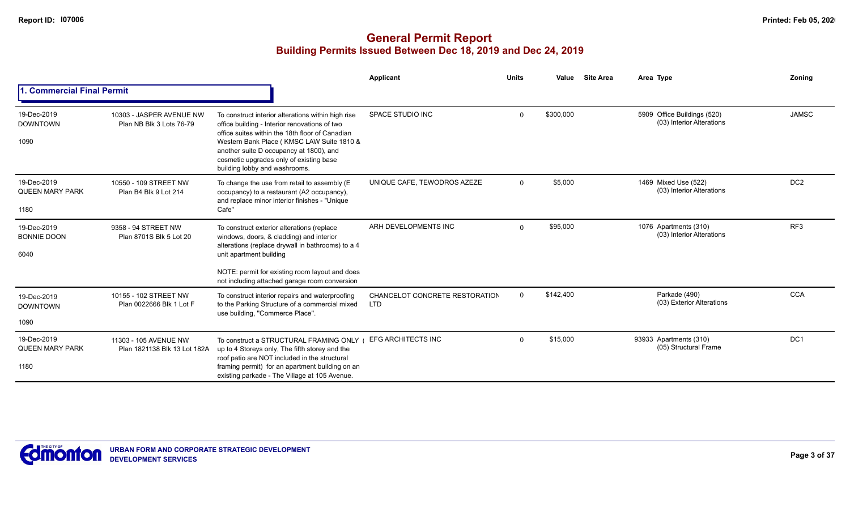|                                               |                                                       |                                                                                                                                                                                                                                                                                                                            | Applicant                                    | <b>Units</b> | Value     | <b>Site Area</b> | Area Type                                                | <b>Zoning</b>   |
|-----------------------------------------------|-------------------------------------------------------|----------------------------------------------------------------------------------------------------------------------------------------------------------------------------------------------------------------------------------------------------------------------------------------------------------------------------|----------------------------------------------|--------------|-----------|------------------|----------------------------------------------------------|-----------------|
| . Commercial Final Permit                     |                                                       |                                                                                                                                                                                                                                                                                                                            |                                              |              |           |                  |                                                          |                 |
| 19-Dec-2019<br><b>DOWNTOWN</b><br>1090        | 10303 - JASPER AVENUE NW<br>Plan NB Blk 3 Lots 76-79  | To construct interior alterations within high rise<br>office building - Interior renovations of two<br>office suites within the 18th floor of Canadian<br>Western Bank Place (KMSC LAW Suite 1810 &<br>another suite D occupancy at 1800), and<br>cosmetic upgrades only of existing base<br>building lobby and washrooms. | SPACE STUDIO INC                             | $\Omega$     | \$300,000 |                  | 5909 Office Buildings (520)<br>(03) Interior Alterations | <b>JAMSC</b>    |
| 19-Dec-2019<br><b>QUEEN MARY PARK</b><br>1180 | 10550 - 109 STREET NW<br>Plan B4 Blk 9 Lot 214        | To change the use from retail to assembly (E<br>occupancy) to a restaurant (A2 occupancy),<br>and replace minor interior finishes - "Unique<br>Cafe"                                                                                                                                                                       | UNIQUE CAFE. TEWODROS AZEZE                  | $\Omega$     | \$5,000   |                  | 1469 Mixed Use (522)<br>(03) Interior Alterations        | DC <sub>2</sub> |
| 19-Dec-2019<br><b>BONNIE DOON</b><br>6040     | 9358 - 94 STREET NW<br>Plan 8701S Blk 5 Lot 20        | To construct exterior alterations (replace<br>windows, doors, & cladding) and interior<br>alterations (replace drywall in bathrooms) to a 4<br>unit apartment building                                                                                                                                                     | ARH DEVELOPMENTS INC                         | $\Omega$     | \$95,000  |                  | 1076 Apartments (310)<br>(03) Interior Alterations       | RF <sub>3</sub> |
|                                               |                                                       | NOTE: permit for existing room layout and does<br>not including attached garage room conversion                                                                                                                                                                                                                            |                                              |              |           |                  |                                                          |                 |
| 19-Dec-2019<br><b>DOWNTOWN</b>                | 10155 - 102 STREET NW<br>Plan 0022666 Blk 1 Lot F     | To construct interior repairs and waterproofing<br>to the Parking Structure of a commercial mixed<br>use building, "Commerce Place".                                                                                                                                                                                       | CHANCELOT CONCRETE RESTORATION<br><b>LTD</b> | $\Omega$     | \$142,400 |                  | Parkade (490)<br>(03) Exterior Alterations               | <b>CCA</b>      |
| 1090                                          |                                                       |                                                                                                                                                                                                                                                                                                                            |                                              |              |           |                  |                                                          |                 |
| 19-Dec-2019<br><b>QUEEN MARY PARK</b><br>1180 | 11303 - 105 AVENUE NW<br>Plan 1821138 Blk 13 Lot 182A | To construct a STRUCTURAL FRAMING ONLY<br>up to 4 Storeys only, The fifth storey and the<br>roof patio are NOT included in the structural<br>framing permit) for an apartment building on an<br>existing parkade - The Village at 105 Avenue.                                                                              | <b>EFG ARCHITECTS INC</b>                    | $\Omega$     | \$15,000  |                  | 93933 Apartments (310)<br>(05) Structural Frame          | DC1             |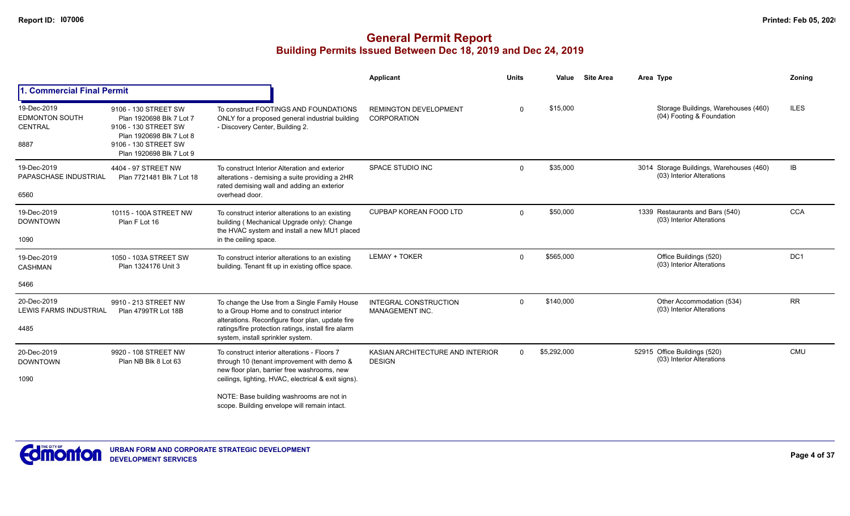|                                                         |                                                                                                                                                          |                                                                                                                                                                                                                                                                                              | Applicant                                         | <b>Units</b> | Value       | <b>Site Area</b> | Area Type                                                             | Zoning      |
|---------------------------------------------------------|----------------------------------------------------------------------------------------------------------------------------------------------------------|----------------------------------------------------------------------------------------------------------------------------------------------------------------------------------------------------------------------------------------------------------------------------------------------|---------------------------------------------------|--------------|-------------|------------------|-----------------------------------------------------------------------|-------------|
| 1. Commercial Final Permit                              |                                                                                                                                                          |                                                                                                                                                                                                                                                                                              |                                                   |              |             |                  |                                                                       |             |
| 19-Dec-2019<br><b>EDMONTON SOUTH</b><br>CENTRAL<br>8887 | 9106 - 130 STREET SW<br>Plan 1920698 Blk 7 Lot 7<br>9106 - 130 STREET SW<br>Plan 1920698 Blk 7 Lot 8<br>9106 - 130 STREET SW<br>Plan 1920698 Blk 7 Lot 9 | To construct FOOTINGS AND FOUNDATIONS<br>ONLY for a proposed general industrial building<br>- Discovery Center, Building 2.                                                                                                                                                                  | <b>REMINGTON DEVELOPMENT</b><br>CORPORATION       | $\Omega$     | \$15,000    |                  | Storage Buildings, Warehouses (460)<br>(04) Footing & Foundation      | <b>ILES</b> |
| 19-Dec-2019<br>PAPASCHASE INDUSTRIAL<br>6560            | 4404 - 97 STREET NW<br>Plan 7721481 Blk 7 Lot 18                                                                                                         | To construct Interior Alteration and exterior<br>alterations - demising a suite providing a 2HR<br>rated demising wall and adding an exterior<br>overhead door.                                                                                                                              | SPACE STUDIO INC                                  | $\Omega$     | \$35,000    |                  | 3014 Storage Buildings, Warehouses (460)<br>(03) Interior Alterations | <b>IB</b>   |
| 19-Dec-2019<br><b>DOWNTOWN</b><br>1090                  | 10115 - 100A STREET NW<br>Plan F Lot 16                                                                                                                  | To construct interior alterations to an existing<br>building (Mechanical Upgrade only): Change<br>the HVAC system and install a new MU1 placed<br>in the ceiling space.                                                                                                                      | CUPBAP KOREAN FOOD LTD                            | $\Omega$     | \$50,000    |                  | 1339 Restaurants and Bars (540)<br>(03) Interior Alterations          | <b>CCA</b>  |
| 19-Dec-2019<br>CASHMAN                                  | 1050 - 103A STREET SW<br>Plan 1324176 Unit 3                                                                                                             | To construct interior alterations to an existing<br>building. Tenant fit up in existing office space.                                                                                                                                                                                        | <b>LEMAY + TOKER</b>                              | $\Omega$     | \$565,000   |                  | Office Buildings (520)<br>(03) Interior Alterations                   | DC1         |
| 5466                                                    |                                                                                                                                                          |                                                                                                                                                                                                                                                                                              |                                                   |              |             |                  |                                                                       |             |
| 20-Dec-2019<br><b>LEWIS FARMS INDUSTRIAL</b><br>4485    | 9910 - 213 STREET NW<br>Plan 4799TR Lot 18B                                                                                                              | To change the Use from a Single Family House<br>to a Group Home and to construct interior<br>alterations. Reconfigure floor plan, update fire<br>ratings/fire protection ratings, install fire alarm<br>system, install sprinkler system.                                                    | INTEGRAL CONSTRUCTION<br>MANAGEMENT INC.          | $\Omega$     | \$140,000   |                  | Other Accommodation (534)<br>(03) Interior Alterations                | <b>RR</b>   |
| 20-Dec-2019<br><b>DOWNTOWN</b><br>1090                  | 9920 - 108 STREET NW<br>Plan NB Blk 8 Lot 63                                                                                                             | To construct interior alterations - Floors 7<br>through 10 (tenant improvement with demo &<br>new floor plan, barrier free washrooms, new<br>ceilings, lighting, HVAC, electrical & exit signs).<br>NOTE: Base building washrooms are not in<br>scope. Building envelope will remain intact. | KASIAN ARCHITECTURE AND INTERIOR<br><b>DESIGN</b> | $\Omega$     | \$5,292,000 |                  | 52915 Office Buildings (520)<br>(03) Interior Alterations             | CMU         |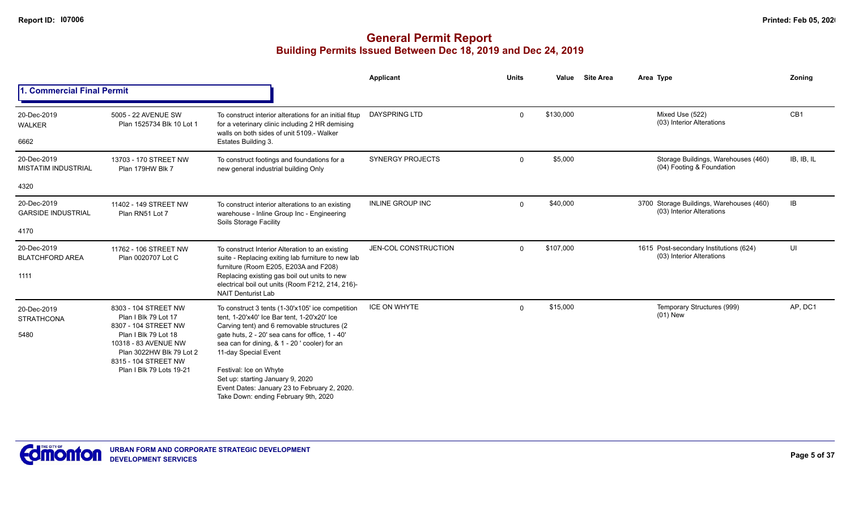|                                           |                                                                                                                                                                                                 |                                                                                                                                                                               | Applicant               | <b>Units</b> | Value     | <b>Site Area</b> | Area Type                                                             | Zoning          |
|-------------------------------------------|-------------------------------------------------------------------------------------------------------------------------------------------------------------------------------------------------|-------------------------------------------------------------------------------------------------------------------------------------------------------------------------------|-------------------------|--------------|-----------|------------------|-----------------------------------------------------------------------|-----------------|
| <b>Commercial Final Permit</b>            |                                                                                                                                                                                                 |                                                                                                                                                                               |                         |              |           |                  |                                                                       |                 |
| 20-Dec-2019<br><b>WALKER</b><br>6662      | 5005 - 22 AVENUE SW<br>Plan 1525734 Blk 10 Lot 1                                                                                                                                                | To construct interior alterations for an initial fitup<br>for a veterinary clinic including 2 HR demising<br>walls on both sides of unit 5109 - Walker<br>Estates Building 3. | <b>DAYSPRING LTD</b>    | $\Omega$     | \$130,000 |                  | Mixed Use (522)<br>(03) Interior Alterations                          | CB <sub>1</sub> |
| 20-Dec-2019<br><b>MISTATIM INDUSTRIAL</b> | 13703 - 170 STREET NW<br>Plan 179HW Blk 7                                                                                                                                                       | To construct footings and foundations for a<br>new general industrial building Only                                                                                           | <b>SYNERGY PROJECTS</b> | $\Omega$     | \$5,000   |                  | Storage Buildings, Warehouses (460)<br>(04) Footing & Foundation      | IB, IB, IL      |
| 4320                                      |                                                                                                                                                                                                 |                                                                                                                                                                               |                         |              |           |                  |                                                                       |                 |
| 20-Dec-2019<br><b>GARSIDE INDUSTRIAL</b>  | 11402 - 149 STREET NW<br>Plan RN51 Lot 7                                                                                                                                                        | To construct interior alterations to an existing<br>warehouse - Inline Group Inc - Engineering<br>Soils Storage Facility                                                      | <b>INLINE GROUP INC</b> | $\Omega$     | \$40,000  |                  | 3700 Storage Buildings, Warehouses (460)<br>(03) Interior Alterations | IB              |
| 4170                                      |                                                                                                                                                                                                 |                                                                                                                                                                               |                         |              |           |                  |                                                                       |                 |
| 20-Dec-2019<br><b>BLATCHFORD AREA</b>     | 11762 - 106 STREET NW<br>Plan 0020707 Lot C                                                                                                                                                     | To construct Interior Alteration to an existing<br>suite - Replacing exiting lab furniture to new lab<br>furniture (Room E205, E203A and F208)                                | JEN-COL CONSTRUCTION    | $\Omega$     | \$107,000 |                  | 1615 Post-secondary Institutions (624)<br>(03) Interior Alterations   | UI              |
| 1111                                      |                                                                                                                                                                                                 | Replacing existing gas boil out units to new<br>electrical boil out units (Room F212, 214, 216)-<br><b>NAIT Denturist Lab</b>                                                 |                         |              |           |                  |                                                                       |                 |
| 20-Dec-2019<br><b>STRATHCONA</b>          | 8303 - 104 STREET NW<br>Plan I Blk 79 Lot 17                                                                                                                                                    | To construct 3 tents (1-30'x105' ice competition<br>tent, 1-20'x40' Ice Bar tent, 1-20'x20' Ice                                                                               | <b>ICE ON WHYTE</b>     | $\Omega$     | \$15,000  |                  | Temporary Structures (999)<br>$(01)$ New                              | AP, DC1         |
| 5480                                      | 8307 - 104 STREET NW<br>Carving tent) and 6 removable structures (2<br>Plan I Blk 79 Lot 18<br>10318 - 83 AVENUE NW<br>Plan 3022HW Blk 79 Lot 2<br>11-day Special Event<br>8315 - 104 STREET NW | gate huts, 2 - 20' sea cans for office, 1 - 40'<br>sea can for dining, & 1 - 20 ' cooler) for an                                                                              |                         |              |           |                  |                                                                       |                 |
|                                           | Plan I Blk 79 Lots 19-21                                                                                                                                                                        | Festival: Ice on Whyte<br>Set up: starting January 9, 2020<br>Event Dates: January 23 to February 2, 2020.<br>Take Down: ending February 9th, 2020                            |                         |              |           |                  |                                                                       |                 |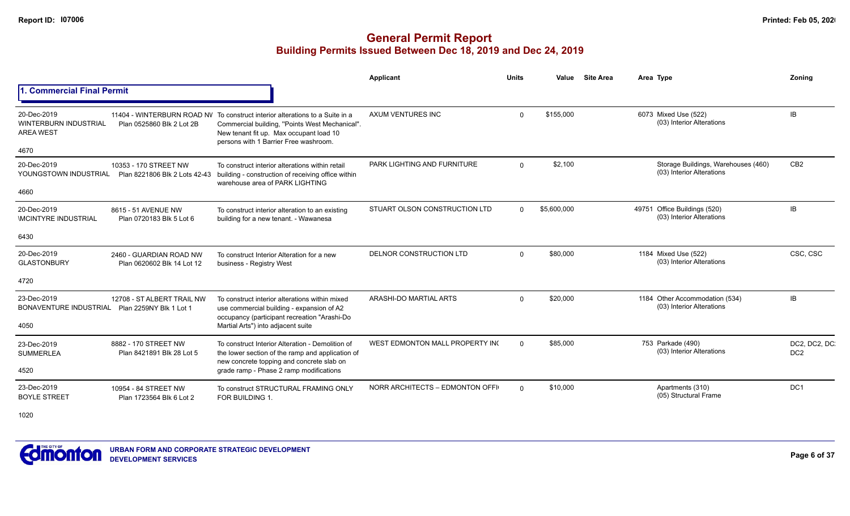# **General Permit Report Building Permits Issued Between Dec 18, 2019 and Dec 24, 2019**

|                                                                         |                                                        |                                                                                                                                                                                                                    | <b>Applicant</b>                | <b>Units</b> | Value       | <b>Site Area</b> | Area Type                                                        | Zoning                           |
|-------------------------------------------------------------------------|--------------------------------------------------------|--------------------------------------------------------------------------------------------------------------------------------------------------------------------------------------------------------------------|---------------------------------|--------------|-------------|------------------|------------------------------------------------------------------|----------------------------------|
| 1. Commercial Final Permit                                              |                                                        |                                                                                                                                                                                                                    |                                 |              |             |                  |                                                                  |                                  |
| 20-Dec-2019<br><b>WINTERBURN INDUSTRIAL</b><br><b>AREA WEST</b><br>4670 | Plan 0525860 Blk 2 Lot 2B                              | 11404 - WINTERBURN ROAD NV To construct interior alterations to a Suite in a<br>Commercial building, "Points West Mechanical".<br>New tenant fit up. Max occupant load 10<br>persons with 1 Barrier Free washroom. | AXUM VENTURES INC               | $\Omega$     | \$155,000   |                  | 6073 Mixed Use (522)<br>(03) Interior Alterations                | <b>IB</b>                        |
| 20-Dec-2019<br>YOUNGSTOWN INDUSTRIAL<br>4660                            | 10353 - 170 STREET NW<br>Plan 8221806 Blk 2 Lots 42-43 | To construct interior alterations within retail<br>building - construction of receiving office within<br>warehouse area of PARK LIGHTING                                                                           | PARK LIGHTING AND FURNITURE     | $\Omega$     | \$2,100     |                  | Storage Buildings, Warehouses (460)<br>(03) Interior Alterations | CB <sub>2</sub>                  |
| 20-Dec-2019<br><b>IMCINTYRE INDUSTRIAL</b>                              | 8615 - 51 AVENUE NW<br>Plan 0720183 Blk 5 Lot 6        | To construct interior alteration to an existing<br>building for a new tenant. - Wawanesa                                                                                                                           | STUART OLSON CONSTRUCTION LTD   | $\Omega$     | \$5,600,000 |                  | 49751 Office Buildings (520)<br>(03) Interior Alterations        | IB                               |
| 6430                                                                    |                                                        |                                                                                                                                                                                                                    |                                 |              |             |                  |                                                                  |                                  |
| 20-Dec-2019<br><b>GLASTONBURY</b>                                       | 2460 - GUARDIAN ROAD NW<br>Plan 0620602 Blk 14 Lot 12  | To construct Interior Alteration for a new<br>business - Registry West                                                                                                                                             | DELNOR CONSTRUCTION LTD         | $\Omega$     | \$80,000    |                  | 1184 Mixed Use (522)<br>(03) Interior Alterations                | CSC, CSC                         |
| 4720                                                                    |                                                        |                                                                                                                                                                                                                    |                                 |              |             |                  |                                                                  |                                  |
| 23-Dec-2019<br>BONAVENTURE INDUSTRIAL                                   | 12708 - ST ALBERT TRAIL NW<br>Plan 2259NY Blk 1 Lot 1  | To construct interior alterations within mixed<br>use commercial building - expansion of A2<br>occupancy (participant recreation "Arashi-Do                                                                        | ARASHI-DO MARTIAL ARTS          | $\Omega$     | \$20,000    |                  | 1184 Other Accommodation (534)<br>(03) Interior Alterations      | <b>IB</b>                        |
| 4050                                                                    |                                                        | Martial Arts") into adjacent suite                                                                                                                                                                                 |                                 |              |             |                  |                                                                  |                                  |
| 23-Dec-2019<br><b>SUMMERLEA</b>                                         | 8882 - 170 STREET NW<br>Plan 8421891 Blk 28 Lot 5      | To construct Interior Alteration - Demolition of<br>the lower section of the ramp and application of<br>new concrete topping and concrete slab on                                                                  | WEST EDMONTON MALL PROPERTY IN  | $\Omega$     | \$85,000    |                  | 753 Parkade (490)<br>(03) Interior Alterations                   | DC2, DC2, DC.<br>DC <sub>2</sub> |
| 4520                                                                    |                                                        | grade ramp - Phase 2 ramp modifications                                                                                                                                                                            |                                 |              |             |                  |                                                                  |                                  |
| 23-Dec-2019<br><b>BOYLE STREET</b>                                      | 10954 - 84 STREET NW<br>Plan 1723564 Blk 6 Lot 2       | To construct STRUCTURAL FRAMING ONLY<br>FOR BUILDING 1.                                                                                                                                                            | NORR ARCHITECTS - EDMONTON OFFI | $\Omega$     | \$10,000    |                  | Apartments (310)<br>(05) Structural Frame                        | DC <sub>1</sub>                  |
| 1000                                                                    |                                                        |                                                                                                                                                                                                                    |                                 |              |             |                  |                                                                  |                                  |

1020

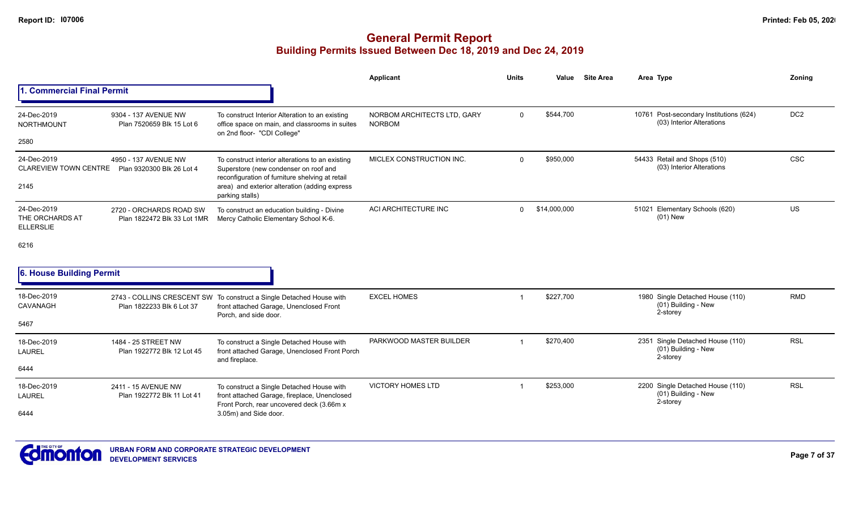|                                                    |                                                        |                                                                                                                                              | Applicant                                    | <b>Units</b> | Value        | <b>Site Area</b> | Area Type                                                            | Zoning          |
|----------------------------------------------------|--------------------------------------------------------|----------------------------------------------------------------------------------------------------------------------------------------------|----------------------------------------------|--------------|--------------|------------------|----------------------------------------------------------------------|-----------------|
| 1. Commercial Final Permit                         |                                                        |                                                                                                                                              |                                              |              |              |                  |                                                                      |                 |
| 24-Dec-2019<br><b>NORTHMOUNT</b>                   | 9304 - 137 AVENUE NW<br>Plan 7520659 Blk 15 Lot 6      | To construct Interior Alteration to an existing<br>office space on main, and classrooms in suites<br>on 2nd floor- "CDI College"             | NORBOM ARCHITECTS LTD, GARY<br><b>NORBOM</b> | $\mathbf 0$  | \$544,700    |                  | 10761 Post-secondary Institutions (624)<br>(03) Interior Alterations | DC <sub>2</sub> |
| 2580                                               |                                                        |                                                                                                                                              |                                              |              |              |                  |                                                                      |                 |
| 24-Dec-2019<br><b>CLAREVIEW TOWN CENTRE</b>        | 4950 - 137 AVENUE NW<br>Plan 9320300 Blk 26 Lot 4      | To construct interior alterations to an existing<br>Superstore (new condenser on roof and<br>reconfiguration of furniture shelving at retail | MICLEX CONSTRUCTION INC.                     | $\Omega$     | \$950,000    |                  | 54433 Retail and Shops (510)<br>(03) Interior Alterations            | <b>CSC</b>      |
| 2145                                               |                                                        | area) and exterior alteration (adding express<br>parking stalls)                                                                             |                                              |              |              |                  |                                                                      |                 |
| 24-Dec-2019<br>THE ORCHARDS AT<br><b>ELLERSLIE</b> | 2720 - ORCHARDS ROAD SW<br>Plan 1822472 Blk 33 Lot 1MR | To construct an education building - Divine<br>Mercy Catholic Elementary School K-6.                                                         | ACI ARCHITECTURE INC                         | $\Omega$     | \$14,000,000 |                  | Elementary Schools (620)<br>51021<br>$(01)$ New                      | US              |
| 6216                                               |                                                        |                                                                                                                                              |                                              |              |              |                  |                                                                      |                 |
| 6. House Building Permit                           |                                                        |                                                                                                                                              |                                              |              |              |                  |                                                                      |                 |
| 18-Dec-2019<br>CAVANAGH                            | Plan 1822233 Blk 6 Lot 37                              | 2743 - COLLINS CRESCENT SW To construct a Single Detached House with<br>front attached Garage, Unenclosed Front<br>Porch, and side door.     | <b>EXCEL HOMES</b>                           |              | \$227,700    |                  | 1980 Single Detached House (110)<br>(01) Building - New<br>2-storey  | <b>RMD</b>      |
| 5467                                               |                                                        |                                                                                                                                              |                                              |              |              |                  |                                                                      |                 |
| 18-Dec-2019<br><b>LAUREL</b>                       | 1484 - 25 STREET NW<br>Plan 1922772 Blk 12 Lot 45      | To construct a Single Detached House with<br>front attached Garage, Unenclosed Front Porch<br>and fireplace.                                 | PARKWOOD MASTER BUILDER                      |              | \$270,400    |                  | 2351 Single Detached House (110)<br>(01) Building - New<br>2-storey  | <b>RSL</b>      |
| 6444                                               |                                                        |                                                                                                                                              |                                              |              |              |                  |                                                                      |                 |
| 18-Dec-2019<br><b>LAUREL</b>                       | 2411 - 15 AVENUE NW<br>Plan 1922772 Blk 11 Lot 41      | To construct a Single Detached House with<br>front attached Garage, fireplace, Unenclosed<br>Front Porch, rear uncovered deck (3.66m x       | <b>VICTORY HOMES LTD</b>                     |              | \$253,000    |                  | 2200 Single Detached House (110)<br>(01) Building - New<br>2-storey  | <b>RSL</b>      |
| 6444                                               |                                                        | 3.05m) and Side door.                                                                                                                        |                                              |              |              |                  |                                                                      |                 |

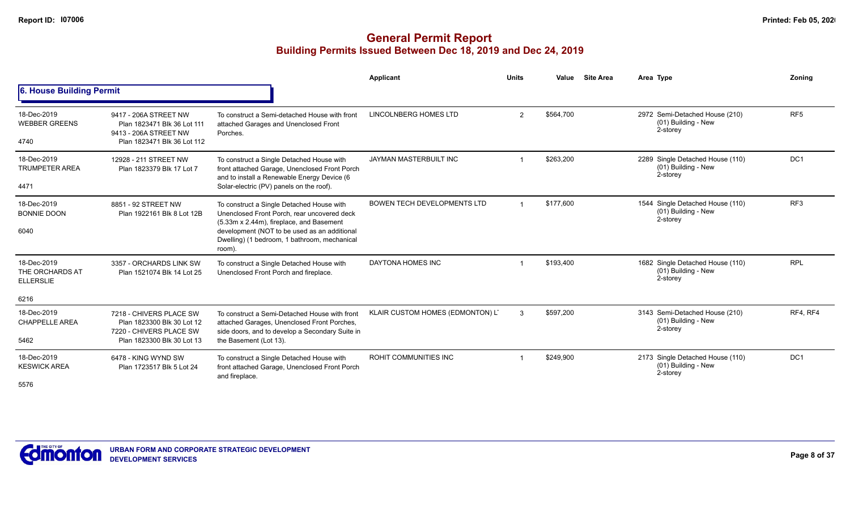|                                                    |                                                                                                                |                                                                                                                                                                                                                                                | Applicant                          | <b>Units</b> | Value     | <b>Site Area</b> | Area Type                                                           | Zoning          |
|----------------------------------------------------|----------------------------------------------------------------------------------------------------------------|------------------------------------------------------------------------------------------------------------------------------------------------------------------------------------------------------------------------------------------------|------------------------------------|--------------|-----------|------------------|---------------------------------------------------------------------|-----------------|
| 6. House Building Permit                           |                                                                                                                |                                                                                                                                                                                                                                                |                                    |              |           |                  |                                                                     |                 |
| 18-Dec-2019<br><b>WEBBER GREENS</b><br>4740        | 9417 - 206A STREET NW<br>Plan 1823471 Blk 36 Lot 111<br>9413 - 206A STREET NW<br>Plan 1823471 Blk 36 Lot 112   | To construct a Semi-detached House with front<br>attached Garages and Unenclosed Front<br>Porches.                                                                                                                                             | LINCOLNBERG HOMES LTD              | 2            | \$564,700 |                  | 2972 Semi-Detached House (210)<br>(01) Building - New<br>2-storey   | RF <sub>5</sub> |
| 18-Dec-2019<br><b>TRUMPETER AREA</b><br>4471       | 12928 - 211 STREET NW<br>Plan 1823379 Blk 17 Lot 7                                                             | To construct a Single Detached House with<br>front attached Garage, Unenclosed Front Porch<br>and to install a Renewable Energy Device (6<br>Solar-electric (PV) panels on the roof).                                                          | JAYMAN MASTERBUILT INC             |              | \$263,200 |                  | 2289 Single Detached House (110)<br>(01) Building - New<br>2-storey | DC <sub>1</sub> |
| 18-Dec-2019<br><b>BONNIE DOON</b><br>6040          | 8851 - 92 STREET NW<br>Plan 1922161 Blk 8 Lot 12B                                                              | To construct a Single Detached House with<br>Unenclosed Front Porch, rear uncovered deck<br>(5.33m x 2.44m), fireplace, and Basement<br>development (NOT to be used as an additional<br>Dwelling) (1 bedroom, 1 bathroom, mechanical<br>room). | <b>BOWEN TECH DEVELOPMENTS LTD</b> |              | \$177.600 |                  | 1544 Single Detached House (110)<br>(01) Building - New<br>2-storey | RF <sub>3</sub> |
| 18-Dec-2019<br>THE ORCHARDS AT<br><b>ELLERSLIE</b> | 3357 - ORCHARDS LINK SW<br>Plan 1521074 Blk 14 Lot 25                                                          | To construct a Single Detached House with<br>Unenclosed Front Porch and fireplace.                                                                                                                                                             | DAYTONA HOMES INC                  |              | \$193,400 |                  | 1682 Single Detached House (110)<br>(01) Building - New<br>2-storey | <b>RPL</b>      |
| 6216                                               |                                                                                                                |                                                                                                                                                                                                                                                |                                    |              |           |                  |                                                                     |                 |
| 18-Dec-2019<br><b>CHAPPELLE AREA</b><br>5462       | 7218 - CHIVERS PLACE SW<br>Plan 1823300 Blk 30 Lot 12<br>7220 - CHIVERS PLACE SW<br>Plan 1823300 Blk 30 Lot 13 | To construct a Semi-Detached House with front<br>attached Garages, Unenclosed Front Porches,<br>side doors, and to develop a Secondary Suite in<br>the Basement (Lot 13).                                                                      | KLAIR CUSTOM HOMES (EDMONTON) LT   | 3            | \$597,200 |                  | 3143 Semi-Detached House (210)<br>(01) Building - New<br>2-storey   | RF4, RF4        |
| 18-Dec-2019<br><b>KESWICK AREA</b><br>5576         | 6478 - KING WYND SW<br>Plan 1723517 Blk 5 Lot 24                                                               | To construct a Single Detached House with<br>front attached Garage, Unenclosed Front Porch<br>and fireplace.                                                                                                                                   | <b>ROHIT COMMUNITIES INC</b>       |              | \$249,900 |                  | 2173 Single Detached House (110)<br>(01) Building - New<br>2-storey | DC <sub>1</sub> |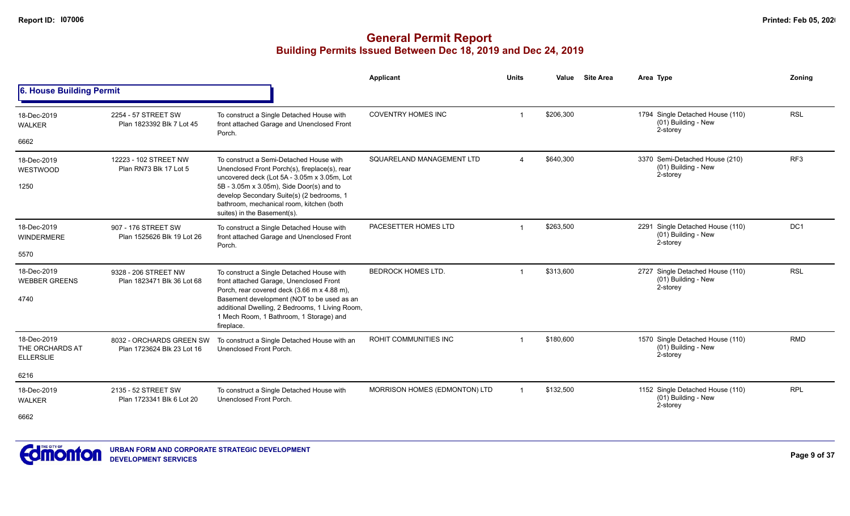|                                                    |                                                        |                                                                                                                                                                                                                                                                                               | <b>Applicant</b>              | <b>Units</b>           | Value     | <b>Site Area</b> | Area Type                                                           | Zoning          |
|----------------------------------------------------|--------------------------------------------------------|-----------------------------------------------------------------------------------------------------------------------------------------------------------------------------------------------------------------------------------------------------------------------------------------------|-------------------------------|------------------------|-----------|------------------|---------------------------------------------------------------------|-----------------|
| <b>6. House Building Permit</b>                    |                                                        |                                                                                                                                                                                                                                                                                               |                               |                        |           |                  |                                                                     |                 |
| 18-Dec-2019<br><b>WALKER</b>                       | 2254 - 57 STREET SW<br>Plan 1823392 Blk 7 Lot 45       | To construct a Single Detached House with<br>front attached Garage and Unenclosed Front<br>Porch.                                                                                                                                                                                             | <b>COVENTRY HOMES INC</b>     |                        | \$206,300 |                  | 1794 Single Detached House (110)<br>(01) Building - New<br>2-storey | <b>RSL</b>      |
| 6662                                               |                                                        |                                                                                                                                                                                                                                                                                               |                               |                        |           |                  |                                                                     |                 |
| 18-Dec-2019<br>WESTWOOD                            | 12223 - 102 STREET NW<br>Plan RN73 Blk 17 Lot 5        | To construct a Semi-Detached House with<br>Unenclosed Front Porch(s), fireplace(s), rear<br>uncovered deck (Lot 5A - 3.05m x 3.05m, Lot                                                                                                                                                       | SQUARELAND MANAGEMENT LTD     | $\boldsymbol{\Lambda}$ | \$640.300 |                  | 3370 Semi-Detached House (210)<br>(01) Building - New<br>2-storey   | RF <sub>3</sub> |
| 1250                                               |                                                        | 5B - 3.05m x 3.05m), Side Door(s) and to<br>develop Secondary Suite(s) (2 bedrooms, 1<br>bathroom, mechanical room, kitchen (both<br>suites) in the Basement(s).                                                                                                                              |                               |                        |           |                  |                                                                     |                 |
| 18-Dec-2019<br><b>WINDERMERE</b>                   | 907 - 176 STREET SW<br>Plan 1525626 Blk 19 Lot 26      | To construct a Single Detached House with<br>front attached Garage and Unenclosed Front<br>Porch.                                                                                                                                                                                             | PACESETTER HOMES LTD          |                        | \$263,500 |                  | 2291 Single Detached House (110)<br>(01) Building - New<br>2-storey | DC1             |
| 5570                                               |                                                        |                                                                                                                                                                                                                                                                                               |                               |                        |           |                  |                                                                     |                 |
| 18-Dec-2019<br><b>WEBBER GREENS</b><br>4740        | 9328 - 206 STREET NW<br>Plan 1823471 Blk 36 Lot 68     | To construct a Single Detached House with<br>front attached Garage, Unenclosed Front<br>Porch, rear covered deck (3.66 m x 4.88 m),<br>Basement development (NOT to be used as an<br>additional Dwelling, 2 Bedrooms, 1 Living Room,<br>1 Mech Room, 1 Bathroom, 1 Storage) and<br>fireplace. | <b>BEDROCK HOMES LTD.</b>     |                        | \$313,600 |                  | 2727 Single Detached House (110)<br>(01) Building - New<br>2-storey | <b>RSL</b>      |
| 18-Dec-2019<br>THE ORCHARDS AT<br><b>ELLERSLIE</b> | 8032 - ORCHARDS GREEN SW<br>Plan 1723624 Blk 23 Lot 16 | To construct a Single Detached House with an<br>Unenclosed Front Porch.                                                                                                                                                                                                                       | <b>ROHIT COMMUNITIES INC</b>  |                        | \$180,600 |                  | 1570 Single Detached House (110)<br>(01) Building - New<br>2-storey | <b>RMD</b>      |
| 6216                                               |                                                        |                                                                                                                                                                                                                                                                                               |                               |                        |           |                  |                                                                     |                 |
| 18-Dec-2019<br><b>WALKER</b><br>6662               | 2135 - 52 STREET SW<br>Plan 1723341 Blk 6 Lot 20       | To construct a Single Detached House with<br>Unenclosed Front Porch.                                                                                                                                                                                                                          | MORRISON HOMES (EDMONTON) LTD | $\overline{1}$         | \$132,500 |                  | 1152 Single Detached House (110)<br>(01) Building - New<br>2-storey | <b>RPL</b>      |
|                                                    |                                                        |                                                                                                                                                                                                                                                                                               |                               |                        |           |                  |                                                                     |                 |

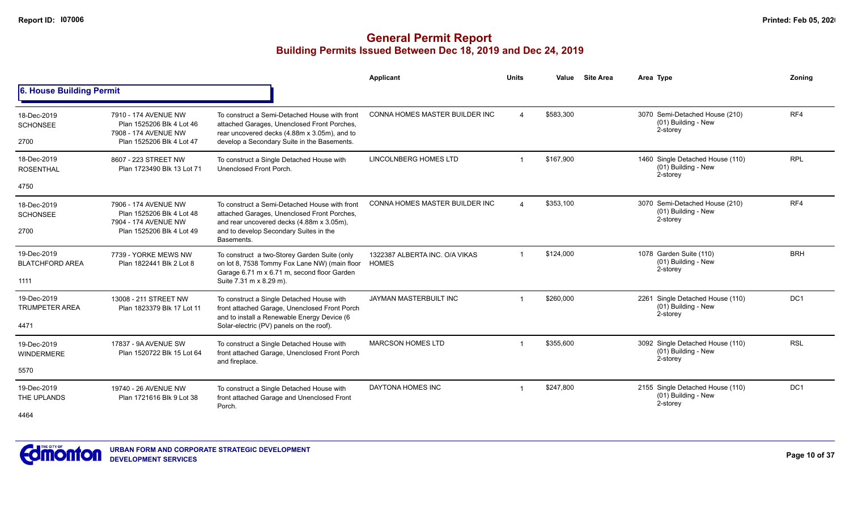|                                               |                                                                                                        |                                                                                                                                                                                                   | <b>Applicant</b>                               | <b>Units</b>            | Value     | <b>Site Area</b> | Area Type                                                           | Zonina          |
|-----------------------------------------------|--------------------------------------------------------------------------------------------------------|---------------------------------------------------------------------------------------------------------------------------------------------------------------------------------------------------|------------------------------------------------|-------------------------|-----------|------------------|---------------------------------------------------------------------|-----------------|
| 6. House Building Permit                      |                                                                                                        |                                                                                                                                                                                                   |                                                |                         |           |                  |                                                                     |                 |
| 18-Dec-2019<br><b>SCHONSEE</b><br>2700        | 7910 - 174 AVENUE NW<br>Plan 1525206 Blk 4 Lot 46<br>7908 - 174 AVENUE NW<br>Plan 1525206 Blk 4 Lot 47 | To construct a Semi-Detached House with front<br>attached Garages, Unenclosed Front Porches,<br>rear uncovered decks (4.88m x 3.05m), and to<br>develop a Secondary Suite in the Basements.       | CONNA HOMES MASTER BUILDER INC                 | $\boldsymbol{\Lambda}$  | \$583,300 |                  | 3070 Semi-Detached House (210)<br>(01) Building - New<br>2-storey   | RF4             |
| 18-Dec-2019<br><b>ROSENTHAL</b>               | 8607 - 223 STREET NW<br>Plan 1723490 Blk 13 Lot 71                                                     | To construct a Single Detached House with<br>Unenclosed Front Porch.                                                                                                                              | <b>LINCOLNBERG HOMES LTD</b>                   |                         | \$167.900 |                  | 1460 Single Detached House (110)<br>(01) Building - New<br>2-storey | <b>RPL</b>      |
| 4750                                          |                                                                                                        |                                                                                                                                                                                                   |                                                |                         |           |                  |                                                                     |                 |
| 18-Dec-2019<br><b>SCHONSEE</b><br>2700        | 7906 - 174 AVENUE NW<br>Plan 1525206 Blk 4 Lot 48<br>7904 - 174 AVENUE NW<br>Plan 1525206 Blk 4 Lot 49 | To construct a Semi-Detached House with front<br>attached Garages, Unenclosed Front Porches,<br>and rear uncovered decks (4.88m x 3.05m),<br>and to develop Secondary Suites in the<br>Basements. | CONNA HOMES MASTER BUILDER INC                 | $\boldsymbol{\Delta}$   | \$353,100 |                  | 3070 Semi-Detached House (210)<br>(01) Building - New<br>2-storey   | RF4             |
| 19-Dec-2019<br><b>BLATCHFORD AREA</b><br>1111 | 7739 - YORKE MEWS NW<br>Plan 1822441 Blk 2 Lot 8                                                       | To construct a two-Storey Garden Suite (only<br>on lot 8, 7538 Tommy Fox Lane NW) (main floor<br>Garage 6.71 m x 6.71 m, second floor Garden<br>Suite 7.31 m x 8.29 m).                           | 1322387 ALBERTA INC. O/A VIKAS<br><b>HOMES</b> | $\overline{\mathbf{1}}$ | \$124,000 |                  | 1078 Garden Suite (110)<br>(01) Building - New<br>2-storey          | <b>BRH</b>      |
| 19-Dec-2019<br><b>TRUMPETER AREA</b><br>4471  | 13008 - 211 STREET NW<br>Plan 1823379 Blk 17 Lot 11                                                    | To construct a Single Detached House with<br>front attached Garage, Unenclosed Front Porch<br>and to install a Renewable Energy Device (6<br>Solar-electric (PV) panels on the roof).             | <b>JAYMAN MASTERBUILT INC</b>                  |                         | \$260.000 |                  | 2261 Single Detached House (110)<br>(01) Building - New<br>2-storey | DC <sub>1</sub> |
| 19-Dec-2019<br><b>WINDERMERE</b><br>5570      | 17837 - 9A AVENUE SW<br>Plan 1520722 Blk 15 Lot 64                                                     | To construct a Single Detached House with<br>front attached Garage, Unenclosed Front Porch<br>and fireplace.                                                                                      | <b>MARCSON HOMES LTD</b>                       |                         | \$355,600 |                  | 3092 Single Detached House (110)<br>(01) Building - New<br>2-storey | <b>RSL</b>      |
| 19-Dec-2019<br>THE UPLANDS<br>4464            | 19740 - 26 AVENUE NW<br>Plan 1721616 Blk 9 Lot 38                                                      | To construct a Single Detached House with<br>front attached Garage and Unenclosed Front<br>Porch.                                                                                                 | <b>DAYTONA HOMES INC</b>                       |                         | \$247,800 |                  | 2155 Single Detached House (110)<br>(01) Building - New<br>2-storey | DC <sub>1</sub> |

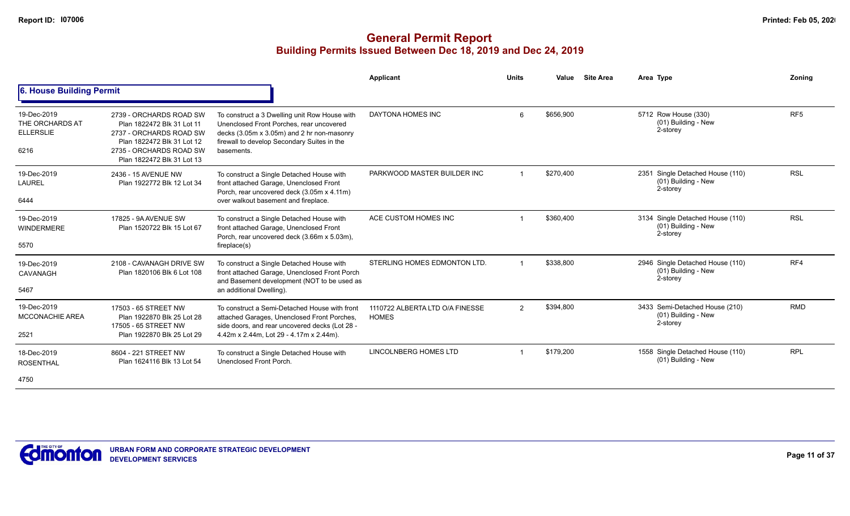|                                                            |                                                                                                                                                                         |                                                                                                                                                                                                      | <b>Applicant</b>                                | <b>Units</b> | Value     | <b>Site Area</b> | Area Type                                                           | <b>Zoning</b>   |
|------------------------------------------------------------|-------------------------------------------------------------------------------------------------------------------------------------------------------------------------|------------------------------------------------------------------------------------------------------------------------------------------------------------------------------------------------------|-------------------------------------------------|--------------|-----------|------------------|---------------------------------------------------------------------|-----------------|
| 6. House Building Permit                                   |                                                                                                                                                                         |                                                                                                                                                                                                      |                                                 |              |           |                  |                                                                     |                 |
| 19-Dec-2019<br>THE ORCHARDS AT<br><b>ELLERSLIE</b><br>6216 | 2739 - ORCHARDS ROAD SW<br>Plan 1822472 Blk 31 Lot 11<br>2737 - ORCHARDS ROAD SW<br>Plan 1822472 Blk 31 Lot 12<br>2735 - ORCHARDS ROAD SW<br>Plan 1822472 Blk 31 Lot 13 | To construct a 3 Dwelling unit Row House with<br>Unenclosed Front Porches, rear uncovered<br>decks (3.05m x 3.05m) and 2 hr non-masonry<br>firewall to develop Secondary Suites in the<br>basements. | DAYTONA HOMES INC                               | 6            | \$656,900 |                  | 5712 Row House (330)<br>(01) Building - New<br>2-storey             | RF <sub>5</sub> |
| 19-Dec-2019<br>LAUREL<br>6444                              | 2436 - 15 AVENUE NW<br>Plan 1922772 Blk 12 Lot 34                                                                                                                       | To construct a Single Detached House with<br>front attached Garage, Unenclosed Front<br>Porch, rear uncovered deck (3.05m x 4.11m)<br>over walkout basement and fireplace.                           | PARKWOOD MASTER BUILDER INC                     |              | \$270,400 |                  | 2351 Single Detached House (110)<br>(01) Building - New<br>2-storey | <b>RSL</b>      |
| 19-Dec-2019<br><b>WINDERMERE</b><br>5570                   | 17825 - 9A AVENUE SW<br>Plan 1520722 Blk 15 Lot 67                                                                                                                      | To construct a Single Detached House with<br>front attached Garage, Unenclosed Front<br>Porch, rear uncovered deck (3.66m x 5.03m),<br>fireplace(s)                                                  | ACE CUSTOM HOMES INC                            |              | \$360,400 |                  | 3134 Single Detached House (110)<br>(01) Building - New<br>2-storey | <b>RSL</b>      |
| 19-Dec-2019<br>CAVANAGH<br>5467                            | 2108 - CAVANAGH DRIVE SW<br>Plan 1820106 Blk 6 Lot 108                                                                                                                  | To construct a Single Detached House with<br>front attached Garage, Unenclosed Front Porch<br>and Basement development (NOT to be used as<br>an additional Dwelling).                                | STERLING HOMES EDMONTON LTD.                    |              | \$338,800 |                  | 2946 Single Detached House (110)<br>(01) Building - New<br>2-storey | RF4             |
| 19-Dec-2019<br><b>MCCONACHIE AREA</b><br>2521              | 17503 - 65 STREET NW<br>Plan 1922870 Blk 25 Lot 28<br>17505 - 65 STREET NW<br>Plan 1922870 Blk 25 Lot 29                                                                | To construct a Semi-Detached House with front<br>attached Garages, Unenclosed Front Porches,<br>side doors, and rear uncovered decks (Lot 28 -<br>4.42m x 2.44m, Lot 29 - 4.17m x 2.44m).            | 1110722 ALBERTA LTD O/A FINESSE<br><b>HOMES</b> | 2            | \$394,800 |                  | 3433 Semi-Detached House (210)<br>(01) Building - New<br>2-storey   | <b>RMD</b>      |
| 18-Dec-2019<br><b>ROSENTHAL</b><br>4750                    | 8604 - 221 STREET NW<br>Plan 1624116 Blk 13 Lot 54                                                                                                                      | To construct a Single Detached House with<br>Unenclosed Front Porch.                                                                                                                                 | LINCOLNBERG HOMES LTD                           |              | \$179,200 |                  | 1558 Single Detached House (110)<br>(01) Building - New             | <b>RPL</b>      |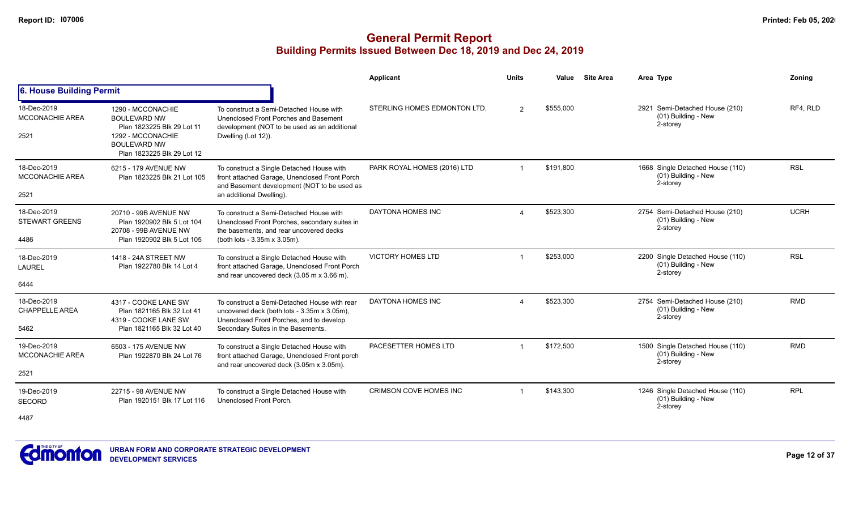|                                               |                                                                                                                                                  |                                                                                                                                                                               | Applicant                     | <b>Units</b>            | Value     | <b>Site Area</b> | Area Type                                                             | Zonina      |
|-----------------------------------------------|--------------------------------------------------------------------------------------------------------------------------------------------------|-------------------------------------------------------------------------------------------------------------------------------------------------------------------------------|-------------------------------|-------------------------|-----------|------------------|-----------------------------------------------------------------------|-------------|
| 6. House Building Permit                      |                                                                                                                                                  |                                                                                                                                                                               |                               |                         |           |                  |                                                                       |             |
| 18-Dec-2019<br><b>MCCONACHIE AREA</b><br>2521 | 1290 - MCCONACHIE<br><b>BOULEVARD NW</b><br>Plan 1823225 Blk 29 Lot 11<br>1292 - MCCONACHIE<br><b>BOULEVARD NW</b><br>Plan 1823225 Blk 29 Lot 12 | To construct a Semi-Detached House with<br>Unenclosed Front Porches and Basement<br>development (NOT to be used as an additional<br>Dwelling (Lot 12)).                       | STERLING HOMES EDMONTON LTD.  | $\mathcal{P}$           | \$555,000 |                  | 2921 Semi-Detached House (210)<br>(01) Building - New<br>2-storey     | RF4, RLD    |
| 18-Dec-2019<br>MCCONACHIE AREA<br>2521        | 6215 - 179 AVENUE NW<br>Plan 1823225 Blk 21 Lot 105                                                                                              | To construct a Single Detached House with<br>front attached Garage, Unenclosed Front Porch<br>and Basement development (NOT to be used as<br>an additional Dwelling).         | PARK ROYAL HOMES (2016) LTD   | $\overline{\mathbf{1}}$ | \$191,800 |                  | 1668 Single Detached House (110)<br>$(01)$ Building - New<br>2-storey | <b>RSL</b>  |
| 18-Dec-2019<br><b>STEWART GREENS</b><br>4486  | 20710 - 99B AVENUE NW<br>Plan 1920902 Blk 5 Lot 104<br>20708 - 99B AVENUE NW<br>Plan 1920902 Blk 5 Lot 105                                       | To construct a Semi-Detached House with<br>Unenclosed Front Porches, secondary suites in<br>the basements, and rear uncovered decks<br>(both lots - 3.35m x 3.05m).           | DAYTONA HOMES INC             |                         | \$523,300 |                  | 2754 Semi-Detached House (210)<br>(01) Building - New<br>2-storey     | <b>UCRH</b> |
| 18-Dec-2019<br><b>LAUREL</b><br>6444          | 1418 - 24A STREET NW<br>Plan 1922780 Blk 14 Lot 4                                                                                                | To construct a Single Detached House with<br>front attached Garage, Unenclosed Front Porch<br>and rear uncovered deck (3.05 m x 3.66 m).                                      | <b>VICTORY HOMES LTD</b>      |                         | \$253,000 |                  | 2200 Single Detached House (110)<br>(01) Building - New<br>2-storey   | <b>RSL</b>  |
| 18-Dec-2019<br><b>CHAPPELLE AREA</b><br>5462  | 4317 - COOKE LANE SW<br>Plan 1821165 Blk 32 Lot 41<br>4319 - COOKE LANE SW<br>Plan 1821165 Blk 32 Lot 40                                         | To construct a Semi-Detached House with rear<br>uncovered deck (both lots - 3.35m x 3.05m),<br>Unenclosed Front Porches, and to develop<br>Secondary Suites in the Basements. | DAYTONA HOMES INC             |                         | \$523,300 |                  | 2754 Semi-Detached House (210)<br>(01) Building - New<br>2-storey     | <b>RMD</b>  |
| 19-Dec-2019<br><b>MCCONACHIE AREA</b><br>2521 | 6503 - 175 AVENUE NW<br>Plan 1922870 Blk 24 Lot 76                                                                                               | To construct a Single Detached House with<br>front attached Garage, Unenclosed Front porch<br>and rear uncovered deck (3.05m x 3.05m).                                        | PACESETTER HOMES LTD          |                         | \$172,500 |                  | 1500 Single Detached House (110)<br>(01) Building - New<br>2-storey   | <b>RMD</b>  |
| 19-Dec-2019<br><b>SECORD</b><br>4487          | 22715 - 98 AVENUE NW<br>Plan 1920151 Blk 17 Lot 116                                                                                              | To construct a Single Detached House with<br>Unenclosed Front Porch.                                                                                                          | <b>CRIMSON COVE HOMES INC</b> |                         | \$143,300 |                  | 1246 Single Detached House (110)<br>$(01)$ Building - New<br>2-storey | <b>RPL</b>  |

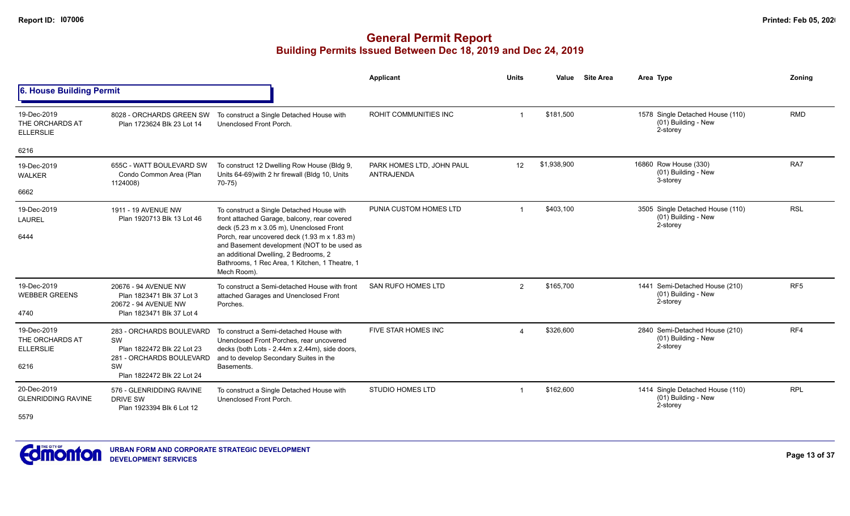|                                                            |                                                                                                                              |                                                                                                                                                                                                                                                                                                                                                | <b>Applicant</b>                               | <b>Units</b>            | Value       | <b>Site Area</b> | Area Type                                                           | Zonina          |
|------------------------------------------------------------|------------------------------------------------------------------------------------------------------------------------------|------------------------------------------------------------------------------------------------------------------------------------------------------------------------------------------------------------------------------------------------------------------------------------------------------------------------------------------------|------------------------------------------------|-------------------------|-------------|------------------|---------------------------------------------------------------------|-----------------|
| 6. House Building Permit                                   |                                                                                                                              |                                                                                                                                                                                                                                                                                                                                                |                                                |                         |             |                  |                                                                     |                 |
| 19-Dec-2019<br>THE ORCHARDS AT<br><b>ELLERSLIE</b>         | 8028 - ORCHARDS GREEN SW<br>Plan 1723624 Blk 23 Lot 14                                                                       | To construct a Single Detached House with<br>Unenclosed Front Porch.                                                                                                                                                                                                                                                                           | ROHIT COMMUNITIES INC                          | $\overline{\mathbf{1}}$ | \$181,500   |                  | 1578 Single Detached House (110)<br>(01) Building - New<br>2-storey | <b>RMD</b>      |
| 6216                                                       |                                                                                                                              |                                                                                                                                                                                                                                                                                                                                                |                                                |                         |             |                  |                                                                     |                 |
| 19-Dec-2019<br><b>WALKER</b>                               | 655C - WATT BOULEVARD SW<br>Condo Common Area (Plan<br>1124008)                                                              | To construct 12 Dwelling Row House (Bldg 9,<br>Units 64-69) with 2 hr firewall (Bldg 10, Units<br>70-75)                                                                                                                                                                                                                                       | PARK HOMES LTD. JOHN PAUL<br><b>ANTRAJENDA</b> | $12 \overline{ }$       | \$1,938,900 |                  | 16860 Row House (330)<br>(01) Building - New<br>3-storey            | RA7             |
| 6662                                                       |                                                                                                                              |                                                                                                                                                                                                                                                                                                                                                |                                                |                         |             |                  |                                                                     |                 |
| 19-Dec-2019<br><b>LAUREL</b><br>6444                       | 1911 - 19 AVENUE NW<br>Plan 1920713 Blk 13 Lot 46                                                                            | To construct a Single Detached House with<br>front attached Garage, balcony, rear covered<br>deck (5.23 m x 3.05 m), Unenclosed Front<br>Porch, rear uncovered deck (1.93 m x 1.83 m)<br>and Basement development (NOT to be used as<br>an additional Dwelling, 2 Bedrooms, 2<br>Bathrooms, 1 Rec Area, 1 Kitchen, 1 Theatre, 1<br>Mech Room). | PUNIA CUSTOM HOMES LTD                         | -1                      | \$403,100   |                  | 3505 Single Detached House (110)<br>(01) Building - New<br>2-storey | <b>RSL</b>      |
| 19-Dec-2019<br><b>WEBBER GREENS</b><br>4740                | 20676 - 94 AVENUE NW<br>Plan 1823471 Blk 37 Lot 3<br>20672 - 94 AVENUE NW<br>Plan 1823471 Blk 37 Lot 4                       | To construct a Semi-detached House with front<br>attached Garages and Unenclosed Front<br>Porches.                                                                                                                                                                                                                                             | <b>SAN RUFO HOMES LTD</b>                      | $\overline{2}$          | \$165,700   |                  | 1441 Semi-Detached House (210)<br>(01) Building - New<br>2-storey   | RF <sub>5</sub> |
| 19-Dec-2019<br>THE ORCHARDS AT<br><b>ELLERSLIE</b><br>6216 | 283 - ORCHARDS BOULEVARD<br>SW<br>Plan 1822472 Blk 22 Lot 23<br>281 - ORCHARDS BOULEVARD<br>SW<br>Plan 1822472 Blk 22 Lot 24 | To construct a Semi-detached House with<br>Unenclosed Front Porches, rear uncovered<br>decks (both Lots - 2.44m x 2.44m), side doors,<br>and to develop Secondary Suites in the<br>Basements.                                                                                                                                                  | FIVE STAR HOMES INC                            | $\boldsymbol{\Delta}$   | \$326,600   |                  | 2840 Semi-Detached House (210)<br>(01) Building - New<br>2-storey   | RF4             |
| 20-Dec-2019<br><b>GLENRIDDING RAVINE</b><br>5579           | 576 - GLENRIDDING RAVINE<br><b>DRIVE SW</b><br>Plan 1923394 Blk 6 Lot 12                                                     | To construct a Single Detached House with<br>Unenclosed Front Porch.                                                                                                                                                                                                                                                                           | <b>STUDIO HOMES LTD</b>                        | $\overline{\mathbf{1}}$ | \$162,600   |                  | 1414 Single Detached House (110)<br>(01) Building - New<br>2-storey | <b>RPL</b>      |

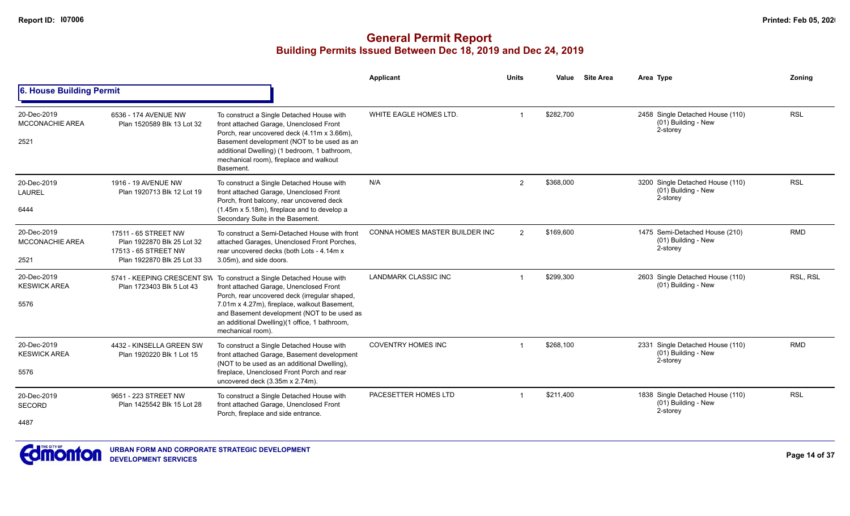|                                               |                                                                                                          |                                                                                                                                                                                                                                                                                                                                       | Applicant                             | <b>Units</b> | Value     | <b>Site Area</b> | Area Type                                                           | Zoning     |
|-----------------------------------------------|----------------------------------------------------------------------------------------------------------|---------------------------------------------------------------------------------------------------------------------------------------------------------------------------------------------------------------------------------------------------------------------------------------------------------------------------------------|---------------------------------------|--------------|-----------|------------------|---------------------------------------------------------------------|------------|
| 6. House Building Permit                      |                                                                                                          |                                                                                                                                                                                                                                                                                                                                       |                                       |              |           |                  |                                                                     |            |
| 20-Dec-2019<br><b>MCCONACHIE AREA</b><br>2521 | 6536 - 174 AVENUE NW<br>Plan 1520589 Blk 13 Lot 32                                                       | To construct a Single Detached House with<br>front attached Garage, Unenclosed Front<br>Porch, rear uncovered deck (4.11m x 3.66m),<br>Basement development (NOT to be used as an<br>additional Dwelling) (1 bedroom, 1 bathroom,<br>mechanical room), fireplace and walkout<br>Basement.                                             | WHITE EAGLE HOMES LTD.                |              | \$282,700 |                  | 2458 Single Detached House (110)<br>(01) Building - New<br>2-storey | <b>RSL</b> |
| 20-Dec-2019<br><b>LAUREL</b><br>6444          | 1916 - 19 AVENUE NW<br>Plan 1920713 Blk 12 Lot 19                                                        | To construct a Single Detached House with<br>front attached Garage, Unenclosed Front<br>Porch, front balcony, rear uncovered deck<br>(1.45m x 5.18m), fireplace and to develop a<br>Secondary Suite in the Basement.                                                                                                                  | N/A                                   | 2            | \$368,000 |                  | 3200 Single Detached House (110)<br>(01) Building - New<br>2-storey | <b>RSL</b> |
| 20-Dec-2019<br><b>MCCONACHIE AREA</b><br>2521 | 17511 - 65 STREET NW<br>Plan 1922870 Blk 25 Lot 32<br>17513 - 65 STREET NW<br>Plan 1922870 Blk 25 Lot 33 | To construct a Semi-Detached House with front<br>attached Garages, Unenclosed Front Porches,<br>rear uncovered decks (both Lots - 4.14m x<br>3.05m), and side doors.                                                                                                                                                                  | <b>CONNA HOMES MASTER BUILDER INC</b> | 2            | \$169,600 |                  | 1475 Semi-Detached House (210)<br>(01) Building - New<br>2-storey   | <b>RMD</b> |
| 20-Dec-2019<br><b>KESWICK AREA</b><br>5576    | Plan 1723403 Blk 5 Lot 43                                                                                | 5741 - KEEPING CRESCENT SW To construct a Single Detached House with<br>front attached Garage, Unenclosed Front<br>Porch, rear uncovered deck (irregular shaped,<br>7.01m x 4.27m), fireplace, walkout Basement,<br>and Basement development (NOT to be used as<br>an additional Dwelling)(1 office, 1 bathroom,<br>mechanical room). | <b>LANDMARK CLASSIC INC</b>           |              | \$299,300 |                  | 2603 Single Detached House (110)<br>(01) Building - New             | RSL, RSL   |
| 20-Dec-2019<br><b>KESWICK AREA</b><br>5576    | 4432 - KINSELLA GREEN SW<br>Plan 1920220 Blk 1 Lot 15                                                    | To construct a Single Detached House with<br>front attached Garage, Basement development<br>(NOT to be used as an additional Dwelling),<br>fireplace, Unenclosed Front Porch and rear<br>uncovered deck (3.35m x 2.74m).                                                                                                              | <b>COVENTRY HOMES INC</b>             |              | \$268,100 |                  | 2331 Single Detached House (110)<br>(01) Building - New<br>2-storey | <b>RMD</b> |
| 20-Dec-2019<br><b>SECORD</b><br>4487          | 9651 - 223 STREET NW<br>Plan 1425542 Blk 15 Lot 28                                                       | To construct a Single Detached House with<br>front attached Garage, Unenclosed Front<br>Porch, fireplace and side entrance.                                                                                                                                                                                                           | PACESETTER HOMES LTD                  |              | \$211.400 |                  | 1838 Single Detached House (110)<br>(01) Building - New<br>2-storey | <b>RSL</b> |

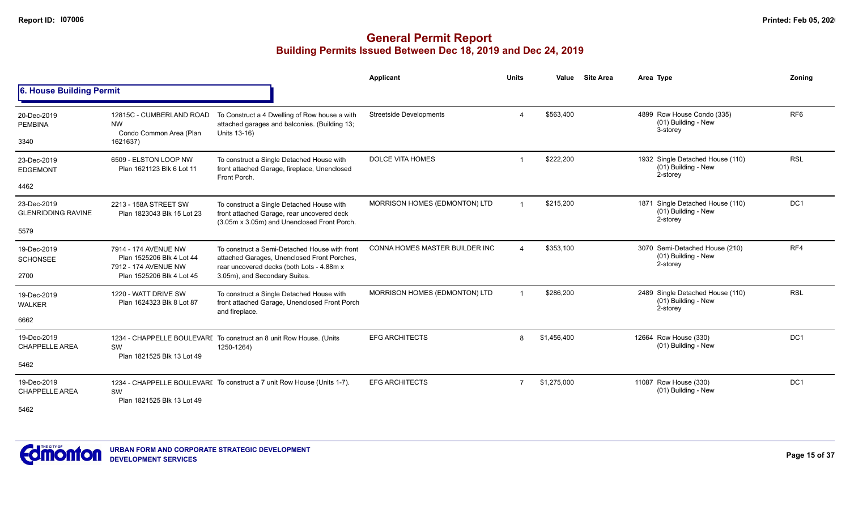|                                                  |                                                                                                        |                                                                                                                                                                            | <b>Applicant</b>               | <b>Units</b>           | Value       | <b>Site Area</b> | Area Type                                                           | Zoning                                                                                          |
|--------------------------------------------------|--------------------------------------------------------------------------------------------------------|----------------------------------------------------------------------------------------------------------------------------------------------------------------------------|--------------------------------|------------------------|-------------|------------------|---------------------------------------------------------------------|-------------------------------------------------------------------------------------------------|
| 6. House Building Permit                         |                                                                                                        |                                                                                                                                                                            |                                |                        |             |                  |                                                                     | RF <sub>6</sub><br><b>RSL</b><br>DC1<br>RF4<br><b>RSL</b><br>DC <sub>1</sub><br>DC <sub>1</sub> |
| 20-Dec-2019<br><b>PEMBINA</b><br>3340            | 12815C - CUMBERLAND ROAD<br><b>NW</b><br>Condo Common Area (Plan<br>1621637)                           | To Construct a 4 Dwelling of Row house a with<br>attached garages and balconies. (Building 13;<br>Units 13-16)                                                             | <b>Streetside Developments</b> |                        | \$563,400   |                  | 4899 Row House Condo (335)<br>(01) Building - New<br>3-storey       |                                                                                                 |
| 23-Dec-2019<br><b>EDGEMONT</b><br>4462           | 6509 - ELSTON LOOP NW<br>Plan 1621123 Blk 6 Lot 11                                                     | To construct a Single Detached House with<br>front attached Garage, fireplace, Unenclosed<br>Front Porch.                                                                  | <b>DOLCE VITA HOMES</b>        | $\overline{1}$         | \$222,200   |                  | 1932 Single Detached House (110)<br>(01) Building - New<br>2-storey |                                                                                                 |
| 23-Dec-2019<br><b>GLENRIDDING RAVINE</b><br>5579 | 2213 - 158A STREET SW<br>Plan 1823043 Blk 15 Lot 23                                                    | To construct a Single Detached House with<br>front attached Garage, rear uncovered deck<br>(3.05m x 3.05m) and Unenclosed Front Porch.                                     | MORRISON HOMES (EDMONTON) LTD  | $\blacktriangleleft$   | \$215,200   |                  | 1871 Single Detached House (110)<br>(01) Building - New<br>2-storey |                                                                                                 |
| 19-Dec-2019<br><b>SCHONSEE</b><br>2700           | 7914 - 174 AVENUE NW<br>Plan 1525206 Blk 4 Lot 44<br>7912 - 174 AVENUE NW<br>Plan 1525206 Blk 4 Lot 45 | To construct a Semi-Detached House with front<br>attached Garages, Unenclosed Front Porches,<br>rear uncovered decks (both Lots - 4.88m x<br>3.05m), and Secondary Suites. | CONNA HOMES MASTER BUILDER INC | $\boldsymbol{\Lambda}$ | \$353,100   |                  | 3070 Semi-Detached House (210)<br>(01) Building - New<br>2-storey   |                                                                                                 |
| 19-Dec-2019<br><b>WALKER</b><br>6662             | 1220 - WATT DRIVE SW<br>Plan 1624323 Blk 8 Lot 87                                                      | To construct a Single Detached House with<br>front attached Garage, Unenclosed Front Porch<br>and fireplace.                                                               | MORRISON HOMES (EDMONTON) LTD  | $\overline{1}$         | \$286,200   |                  | 2489 Single Detached House (110)<br>(01) Building - New<br>2-storey |                                                                                                 |
| 19-Dec-2019<br><b>CHAPPELLE AREA</b><br>5462     | SW<br>Plan 1821525 Blk 13 Lot 49                                                                       | 1234 - CHAPPELLE BOULEVARI To construct an 8 unit Row House. (Units<br>1250-1264)                                                                                          | <b>EFG ARCHITECTS</b>          | 8                      | \$1,456,400 |                  | 12664 Row House (330)<br>(01) Building - New                        |                                                                                                 |
| 19-Dec-2019<br><b>CHAPPELLE AREA</b><br>5462     | SW<br>Plan 1821525 Blk 13 Lot 49                                                                       | 1234 - CHAPPELLE BOULEVARI To construct a 7 unit Row House (Units 1-7).                                                                                                    | <b>EFG ARCHITECTS</b>          | 7                      | \$1,275,000 |                  | 11087 Row House (330)<br>(01) Building - New                        |                                                                                                 |

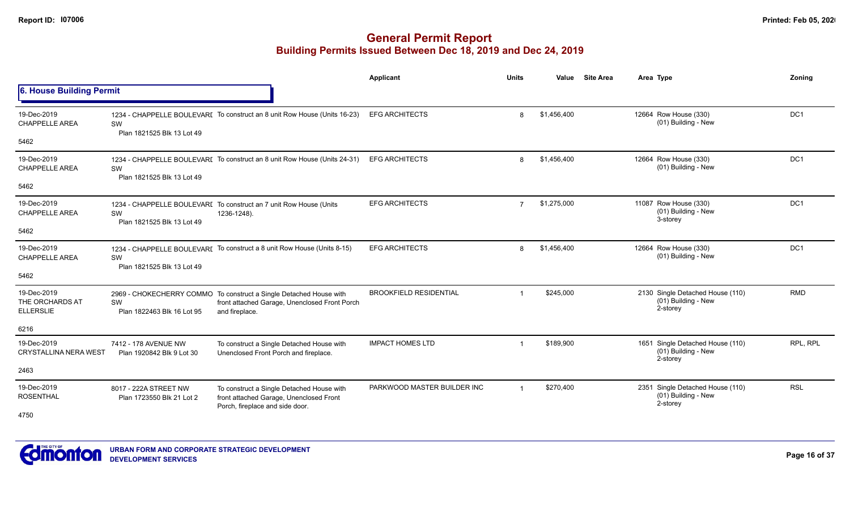|                                                    |                                                    |                                                                                                                                       | Applicant                     | <b>Units</b>   | Value       | <b>Site Area</b> | Area Type                                                           | Zoning          |
|----------------------------------------------------|----------------------------------------------------|---------------------------------------------------------------------------------------------------------------------------------------|-------------------------------|----------------|-------------|------------------|---------------------------------------------------------------------|-----------------|
| 6. House Building Permit                           |                                                    |                                                                                                                                       |                               |                |             |                  |                                                                     |                 |
| 19-Dec-2019<br><b>CHAPPELLE AREA</b>               | SW<br>Plan 1821525 Blk 13 Lot 49                   | 1234 - CHAPPELLE BOULEVARI To construct an 8 unit Row House (Units 16-23)                                                             | <b>EFG ARCHITECTS</b>         | 8              | \$1,456,400 |                  | 12664 Row House (330)<br>(01) Building - New                        | DC <sub>1</sub> |
| 5462                                               |                                                    |                                                                                                                                       |                               |                |             |                  |                                                                     |                 |
| 19-Dec-2019<br><b>CHAPPELLE AREA</b>               | SW                                                 | 1234 - CHAPPELLE BOULEVARI To construct an 8 unit Row House (Units 24-31)                                                             | <b>EFG ARCHITECTS</b>         | 8              | \$1,456,400 |                  | 12664 Row House (330)<br>(01) Building - New                        | DC1             |
| 5462                                               | Plan 1821525 Blk 13 Lot 49                         |                                                                                                                                       |                               |                |             |                  |                                                                     |                 |
| 19-Dec-2019<br>CHAPPELLE AREA                      | SW<br>Plan 1821525 Blk 13 Lot 49                   | 1234 - CHAPPELLE BOULEVARI To construct an 7 unit Row House (Units<br>1236-1248).                                                     | <b>EFG ARCHITECTS</b>         | $\overline{7}$ | \$1,275,000 |                  | 11087 Row House (330)<br>(01) Building - New<br>3-storey            | DC <sub>1</sub> |
| 5462                                               |                                                    |                                                                                                                                       |                               |                |             |                  |                                                                     |                 |
| 19-Dec-2019<br><b>CHAPPELLE AREA</b>               | SW<br>Plan 1821525 Blk 13 Lot 49                   | 1234 - CHAPPELLE BOULEVARI To construct a 8 unit Row House (Units 8-15)                                                               | <b>EFG ARCHITECTS</b>         | 8              | \$1,456,400 |                  | 12664 Row House (330)<br>(01) Building - New                        | DC1             |
| 5462                                               |                                                    |                                                                                                                                       |                               |                |             |                  |                                                                     |                 |
| 19-Dec-2019<br>THE ORCHARDS AT<br><b>ELLERSLIE</b> | SW<br>Plan 1822463 Blk 16 Lot 95                   | 2969 - CHOKECHERRY COMMO To construct a Single Detached House with<br>front attached Garage, Unenclosed Front Porch<br>and fireplace. | <b>BROOKFIELD RESIDENTIAL</b> |                | \$245,000   |                  | 2130 Single Detached House (110)<br>(01) Building - New<br>2-storey | <b>RMD</b>      |
| 6216                                               |                                                    |                                                                                                                                       |                               |                |             |                  |                                                                     |                 |
| 19-Dec-2019<br><b>CRYSTALLINA NERA WEST</b>        | 7412 - 178 AVENUE NW<br>Plan 1920842 Blk 9 Lot 30  | To construct a Single Detached House with<br>Unenclosed Front Porch and fireplace.                                                    | <b>IMPACT HOMES LTD</b>       | $\overline{1}$ | \$189,900   |                  | 1651 Single Detached House (110)<br>(01) Building - New<br>2-storey | RPL, RPL        |
| 2463                                               |                                                    |                                                                                                                                       |                               |                |             |                  |                                                                     |                 |
| 19-Dec-2019<br><b>ROSENTHAL</b><br>4750            | 8017 - 222A STREET NW<br>Plan 1723550 Blk 21 Lot 2 | To construct a Single Detached House with<br>front attached Garage, Unenclosed Front<br>Porch, fireplace and side door.               | PARKWOOD MASTER BUILDER INC   |                | \$270,400   |                  | 2351 Single Detached House (110)<br>(01) Building - New<br>2-storey | <b>RSL</b>      |

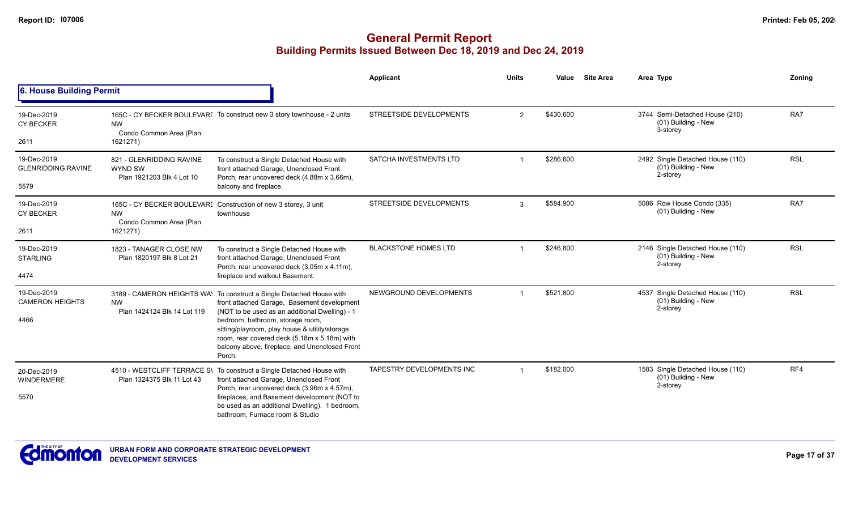|                                                  |                                                                         |                                                                                                                                                                                                                                                                                                                                                                         | <b>Applicant</b>               | <b>Units</b>   | Value     | <b>Site Area</b> | Area Type                                                           | Zoning     |
|--------------------------------------------------|-------------------------------------------------------------------------|-------------------------------------------------------------------------------------------------------------------------------------------------------------------------------------------------------------------------------------------------------------------------------------------------------------------------------------------------------------------------|--------------------------------|----------------|-----------|------------------|---------------------------------------------------------------------|------------|
| 6. House Building Permit                         |                                                                         |                                                                                                                                                                                                                                                                                                                                                                         |                                |                |           |                  |                                                                     |            |
| 19-Dec-2019<br><b>CY BECKER</b><br>2611          | <b>NW</b><br>Condo Common Area (Plan<br>1621271)                        | 165C - CY BECKER BOULEVARI To construct new 3 story townhouse - 2 units                                                                                                                                                                                                                                                                                                 | STREETSIDE DEVELOPMENTS        | $\overline{2}$ | \$430,600 |                  | 3744 Semi-Detached House (210)<br>(01) Building - New<br>3-storey   | RA7        |
| 19-Dec-2019<br><b>GLENRIDDING RAVINE</b><br>5579 | 821 - GLENRIDDING RAVINE<br><b>WYND SW</b><br>Plan 1921203 Blk 4 Lot 10 | To construct a Single Detached House with<br>front attached Garage, Unenclosed Front<br>Porch, rear uncovered deck (4.88m x 3.66m),<br>balcony and fireplace.                                                                                                                                                                                                           | SATCHA INVESTMENTS LTD         |                | \$286,600 |                  | 2492 Single Detached House (110)<br>(01) Building - New<br>2-storey | <b>RSL</b> |
| 19-Dec-2019<br><b>CY BECKER</b><br>2611          | <b>NW</b><br>Condo Common Area (Plan<br>1621271)                        | 165C - CY BECKER BOULEVARI Construction of new 3 storey, 3 unit<br>townhouse                                                                                                                                                                                                                                                                                            | <b>STREETSIDE DEVELOPMENTS</b> | 3              | \$584,900 |                  | 5086 Row House Condo (335)<br>(01) Building - New                   | RA7        |
| 19-Dec-2019<br><b>STARLING</b><br>4474           | 1823 - TANAGER CLOSE NW<br>Plan 1820197 Blk 8 Lot 21                    | To construct a Single Detached House with<br>front attached Garage, Unenclosed Front<br>Porch, rear uncovered deck (3.05m x 4.11m),<br>fireplace and walkout Basement.                                                                                                                                                                                                  | <b>BLACKSTONE HOMES LTD</b>    |                | \$246,800 |                  | 2146 Single Detached House (110)<br>(01) Building - New<br>2-storey | <b>RSL</b> |
| 19-Dec-2019<br><b>CAMERON HEIGHTS</b><br>4466    | <b>NW</b><br>Plan 1424124 Blk 14 Lot 119                                | 3189 - CAMERON HEIGHTS WAY To construct a Single Detached House with<br>front attached Garage, Basement development<br>(NOT to be used as an additional Dwelling) - 1<br>bedroom, bathroom, storage room,<br>sitting/playroom, play house & utility/storage<br>room, rear covered deck (5.18m x 5.18m) with<br>balcony above, fireplace, and Unenclosed Front<br>Porch. | NEWGROUND DEVELOPMENTS         | $\overline{1}$ | \$521,800 |                  | 4537 Single Detached House (110)<br>(01) Building - New<br>2-storey | <b>RSL</b> |
| 20-Dec-2019<br>WINDERMERE<br>5570                | 4510 - WESTCLIFF TERRACE S\<br>Plan 1324375 Blk 11 Lot 43               | To construct a Single Detached House with<br>front attached Garage, Unenclosed Front<br>Porch, rear uncovered deck (3.96m x 4.57m),<br>fireplaces, and Basement development (NOT to<br>be used as an additional Dwelling). 1 bedroom,<br>bathroom. Furnace room & Studio                                                                                                | TAPESTRY DEVELOPMENTS INC      |                | \$182,000 |                  | 1583 Single Detached House (110)<br>(01) Building - New<br>2-storey | RF4        |

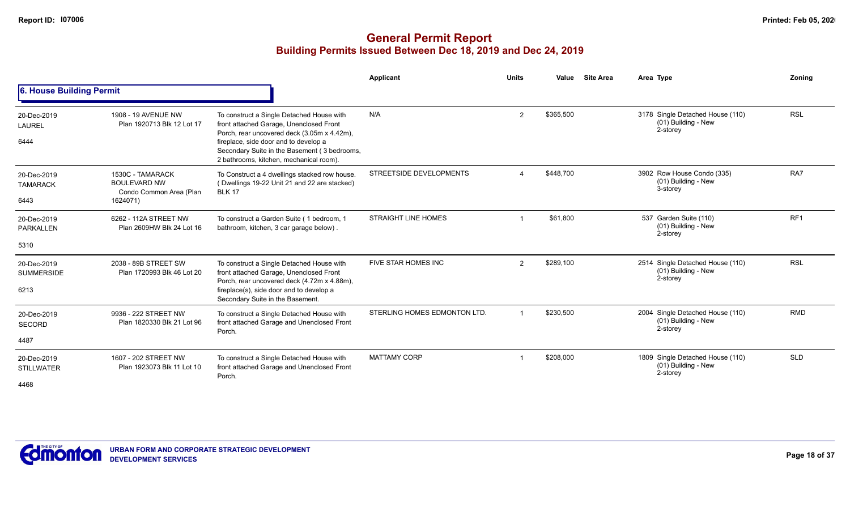|                                  |                                                                    |                                                                                                                                     | Applicant                    | <b>Units</b>   | Value     | <b>Site Area</b> | Area Type                                                           | Zonina                                                                         |
|----------------------------------|--------------------------------------------------------------------|-------------------------------------------------------------------------------------------------------------------------------------|------------------------------|----------------|-----------|------------------|---------------------------------------------------------------------|--------------------------------------------------------------------------------|
| 6. House Building Permit         |                                                                    |                                                                                                                                     |                              |                |           |                  |                                                                     | <b>RSL</b><br>RA7<br>RF <sub>1</sub><br><b>RSL</b><br><b>RMD</b><br><b>SLD</b> |
| 20-Dec-2019<br><b>LAUREL</b>     | 1908 - 19 AVENUE NW<br>Plan 1920713 Blk 12 Lot 17                  | To construct a Single Detached House with<br>front attached Garage, Unenclosed Front<br>Porch, rear uncovered deck (3.05m x 4.42m), | N/A                          | $\overline{2}$ | \$365,500 |                  | 3178 Single Detached House (110)<br>(01) Building - New<br>2-storey |                                                                                |
| 6444                             |                                                                    | fireplace, side door and to develop a<br>Secondary Suite in the Basement (3 bedrooms,<br>2 bathrooms, kitchen, mechanical room).    |                              |                |           |                  |                                                                     |                                                                                |
| 20-Dec-2019<br><b>TAMARACK</b>   | 1530C - TAMARACK<br><b>BOULEVARD NW</b><br>Condo Common Area (Plan | To Construct a 4 dwellings stacked row house.<br>(Dwellings 19-22 Unit 21 and 22 are stacked)<br><b>BLK 17</b>                      | STREETSIDE DEVELOPMENTS      | Δ              | \$448,700 |                  | 3902 Row House Condo (335)<br>(01) Building - New<br>3-storey       |                                                                                |
| 6443                             | 1624071)                                                           |                                                                                                                                     |                              |                |           |                  |                                                                     |                                                                                |
| 20-Dec-2019<br><b>PARKALLEN</b>  | 6262 - 112A STREET NW<br>Plan 2609HW Blk 24 Lot 16                 | To construct a Garden Suite (1 bedroom, 1<br>bathroom, kitchen, 3 car garage below).                                                | <b>STRAIGHT LINE HOMES</b>   |                | \$61,800  |                  | 537 Garden Suite (110)<br>(01) Building - New<br>2-storey           |                                                                                |
| 5310                             |                                                                    |                                                                                                                                     |                              |                |           |                  |                                                                     |                                                                                |
| 20-Dec-2019<br><b>SUMMERSIDE</b> | 2038 - 89B STREET SW<br>Plan 1720993 Blk 46 Lot 20                 | To construct a Single Detached House with<br>front attached Garage, Unenclosed Front<br>Porch, rear uncovered deck (4.72m x 4.88m), | <b>FIVE STAR HOMES INC</b>   | $\overline{2}$ | \$289,100 |                  | 2514 Single Detached House (110)<br>(01) Building - New<br>2-storey |                                                                                |
| 6213                             |                                                                    | fireplace(s), side door and to develop a<br>Secondary Suite in the Basement.                                                        |                              |                |           |                  |                                                                     |                                                                                |
| 20-Dec-2019<br><b>SECORD</b>     | 9936 - 222 STREET NW<br>Plan 1820330 Blk 21 Lot 96                 | To construct a Single Detached House with<br>front attached Garage and Unenclosed Front<br>Porch.                                   | STERLING HOMES EDMONTON LTD. |                | \$230,500 |                  | 2004 Single Detached House (110)<br>(01) Building - New<br>2-storey |                                                                                |
| 4487                             |                                                                    |                                                                                                                                     |                              |                |           |                  |                                                                     |                                                                                |
| 20-Dec-2019<br><b>STILLWATER</b> | 1607 - 202 STREET NW<br>Plan 1923073 Blk 11 Lot 10                 | To construct a Single Detached House with<br>front attached Garage and Unenclosed Front<br>Porch.                                   | <b>MATTAMY CORP</b>          |                | \$208,000 |                  | 1809 Single Detached House (110)<br>(01) Building - New<br>2-storey |                                                                                |
| 4468                             |                                                                    |                                                                                                                                     |                              |                |           |                  |                                                                     |                                                                                |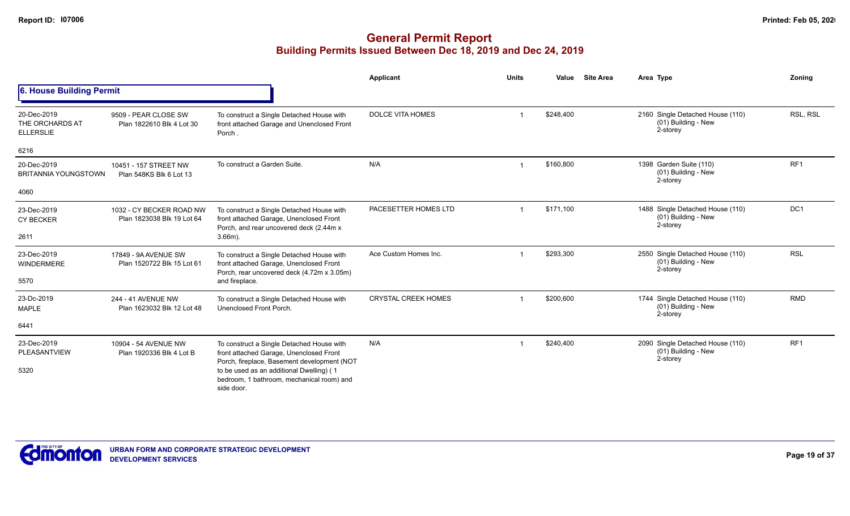|                                                    |                                                        |                                                                                                                                     | Applicant                  | <b>Units</b> | Value     | <b>Site Area</b> | Area Type                                                           | Zonina          |
|----------------------------------------------------|--------------------------------------------------------|-------------------------------------------------------------------------------------------------------------------------------------|----------------------------|--------------|-----------|------------------|---------------------------------------------------------------------|-----------------|
| 6. House Building Permit                           |                                                        |                                                                                                                                     |                            |              |           |                  |                                                                     |                 |
| 20-Dec-2019<br>THE ORCHARDS AT<br><b>ELLERSLIE</b> | 9509 - PEAR CLOSE SW<br>Plan 1822610 Blk 4 Lot 30      | To construct a Single Detached House with<br>front attached Garage and Unenclosed Front<br>Porch.                                   | DOLCE VITA HOMES           |              | \$248,400 |                  | 2160 Single Detached House (110)<br>(01) Building - New<br>2-storey | RSL, RSL        |
| 6216                                               |                                                        |                                                                                                                                     |                            |              |           |                  |                                                                     |                 |
| 20-Dec-2019<br><b>BRITANNIA YOUNGSTOWN</b>         | 10451 - 157 STREET NW<br>Plan 548KS Blk 6 Lot 13       | To construct a Garden Suite.                                                                                                        | N/A                        |              | \$160,800 |                  | 1398 Garden Suite (110)<br>(01) Building - New<br>2-storey          | RF <sub>1</sub> |
| 4060                                               |                                                        |                                                                                                                                     |                            |              |           |                  |                                                                     |                 |
| 23-Dec-2019<br><b>CY BECKER</b>                    | 1032 - CY BECKER ROAD NW<br>Plan 1823038 Blk 19 Lot 64 | To construct a Single Detached House with<br>front attached Garage, Unenclosed Front<br>Porch, and rear uncovered deck (2.44m x)    | PACESETTER HOMES LTD       |              | \$171,100 |                  | 1488 Single Detached House (110)<br>(01) Building - New<br>2-storey | DC1             |
| 2611                                               |                                                        | $3.66m$ ).                                                                                                                          |                            |              |           |                  |                                                                     |                 |
| 23-Dec-2019<br>WINDERMERE                          | 17849 - 9A AVENUE SW<br>Plan 1520722 Blk 15 Lot 61     | To construct a Single Detached House with<br>front attached Garage, Unenclosed Front<br>Porch, rear uncovered deck (4.72m x 3.05m)  | Ace Custom Homes Inc.      |              | \$293,300 |                  | 2550 Single Detached House (110)<br>(01) Building - New<br>2-storey | <b>RSL</b>      |
| 5570                                               |                                                        | and fireplace.                                                                                                                      |                            |              |           |                  |                                                                     |                 |
| 23-Dc-2019<br><b>MAPLE</b>                         | 244 - 41 AVENUE NW<br>Plan 1623032 Blk 12 Lot 48       | To construct a Single Detached House with<br>Unenclosed Front Porch.                                                                | <b>CRYSTAL CREEK HOMES</b> |              | \$200,600 |                  | 1744 Single Detached House (110)<br>(01) Building - New<br>2-storey | <b>RMD</b>      |
| 6441                                               |                                                        |                                                                                                                                     |                            |              |           |                  |                                                                     |                 |
| 23-Dec-2019<br>PLEASANTVIEW                        | 10904 - 54 AVENUE NW<br>Plan 1920336 Blk 4 Lot B       | To construct a Single Detached House with<br>front attached Garage, Unenclosed Front<br>Porch, fireplace, Basement development (NOT | N/A                        |              | \$240.400 |                  | 2090 Single Detached House (110)<br>(01) Building - New<br>2-storey | RF <sub>1</sub> |
| 5320                                               |                                                        | to be used as an additional Dwelling) (1<br>bedroom, 1 bathroom, mechanical room) and<br>side door.                                 |                            |              |           |                  |                                                                     |                 |

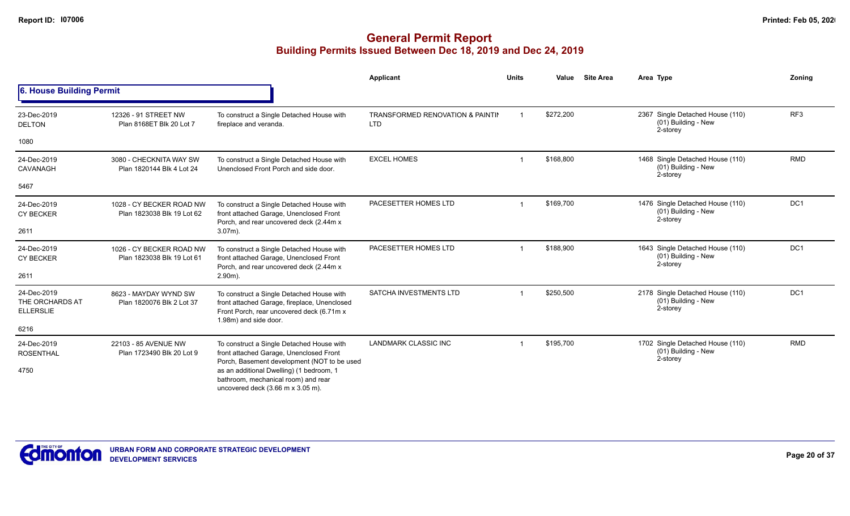|                                                    |                                                                                                                      |                                                                                                                                                                 | <b>Applicant</b>                                          | <b>Units</b> | Value     | <b>Site Area</b> | Area Type                                                           | Zoning          |
|----------------------------------------------------|----------------------------------------------------------------------------------------------------------------------|-----------------------------------------------------------------------------------------------------------------------------------------------------------------|-----------------------------------------------------------|--------------|-----------|------------------|---------------------------------------------------------------------|-----------------|
| 6. House Building Permit                           |                                                                                                                      |                                                                                                                                                                 |                                                           |              |           |                  |                                                                     |                 |
| 23-Dec-2019<br><b>DELTON</b>                       | 12326 - 91 STREET NW<br>Plan 8168ET Blk 20 Lot 7                                                                     | To construct a Single Detached House with<br>fireplace and veranda.                                                                                             | <b>TRANSFORMED RENOVATION &amp; PAINTIN</b><br><b>LTD</b> |              | \$272,200 |                  | 2367 Single Detached House (110)<br>(01) Building - New<br>2-storey | RF <sub>3</sub> |
| 1080                                               |                                                                                                                      |                                                                                                                                                                 |                                                           |              |           |                  |                                                                     |                 |
| 24-Dec-2019<br>CAVANAGH                            | 3080 - CHECKNITA WAY SW<br>Plan 1820144 Blk 4 Lot 24                                                                 | To construct a Single Detached House with<br>Unenclosed Front Porch and side door.                                                                              | <b>EXCEL HOMES</b>                                        |              | \$168,800 |                  | 1468 Single Detached House (110)<br>(01) Building - New<br>2-storey | <b>RMD</b>      |
| 5467                                               |                                                                                                                      |                                                                                                                                                                 |                                                           |              |           |                  |                                                                     |                 |
| 24-Dec-2019<br><b>CY BECKER</b>                    | 1028 - CY BECKER ROAD NW<br>Plan 1823038 Blk 19 Lot 62                                                               | To construct a Single Detached House with<br>front attached Garage, Unenclosed Front                                                                            | PACESETTER HOMES LTD                                      |              | \$169,700 |                  | 1476 Single Detached House (110)<br>(01) Building - New<br>2-storey | DC <sub>1</sub> |
| 2611                                               |                                                                                                                      | Porch, and rear uncovered deck (2.44m x<br>$3.07m$ ).                                                                                                           |                                                           |              |           |                  |                                                                     |                 |
| 24-Dec-2019<br><b>CY BECKER</b>                    | 1026 - CY BECKER ROAD NW<br>Plan 1823038 Blk 19 Lot 61                                                               | To construct a Single Detached House with<br>front attached Garage, Unenclosed Front<br>Porch, and rear uncovered deck (2.44m x)                                | PACESETTER HOMES LTD                                      |              | \$188.900 |                  | 1643 Single Detached House (110)<br>(01) Building - New<br>2-storey | DC <sub>1</sub> |
| 2611                                               |                                                                                                                      | $2.90m$ ).                                                                                                                                                      |                                                           |              |           |                  |                                                                     |                 |
| 24-Dec-2019<br>THE ORCHARDS AT<br><b>ELLERSLIE</b> | 8623 - MAYDAY WYND SW<br>Plan 1820076 Blk 2 Lot 37                                                                   | To construct a Single Detached House with<br>front attached Garage, fireplace, Unenclosed<br>Front Porch, rear uncovered deck (6.71m x<br>1.98m) and side door. | SATCHA INVESTMENTS LTD                                    |              | \$250,500 |                  | 2178 Single Detached House (110)<br>(01) Building - New<br>2-storey | DC1             |
| 6216                                               |                                                                                                                      |                                                                                                                                                                 |                                                           |              |           |                  |                                                                     |                 |
| 24-Dec-2019<br><b>ROSENTHAL</b>                    | 22103 - 85 AVENUE NW<br>Plan 1723490 Blk 20 Lot 9                                                                    | To construct a Single Detached House with<br>front attached Garage, Unenclosed Front<br>Porch, Basement development (NOT to be used                             | <b>LANDMARK CLASSIC INC</b>                               |              | \$195,700 |                  | 1702 Single Detached House (110)<br>(01) Building - New<br>2-storey | <b>RMD</b>      |
| 4750                                               | as an additional Dwelling) (1 bedroom, 1<br>bathroom, mechanical room) and rear<br>uncovered deck (3.66 m x 3.05 m). |                                                                                                                                                                 |                                                           |              |           |                  |                                                                     |                 |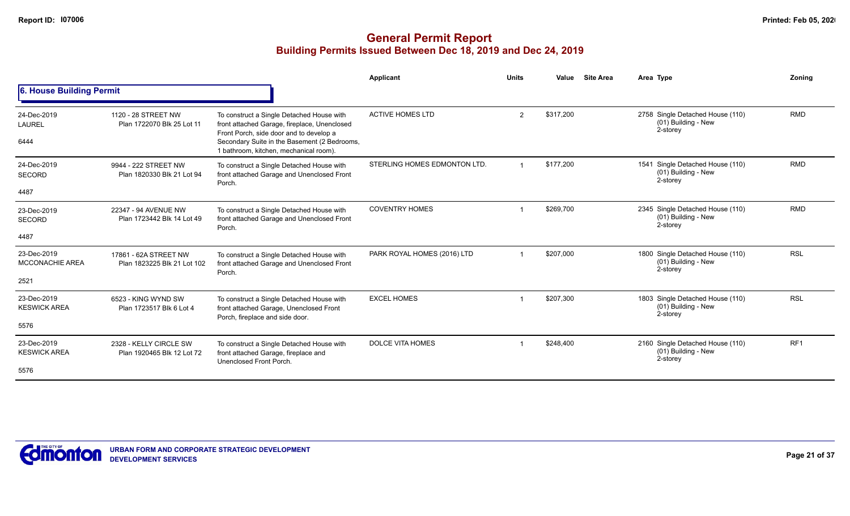|                                       |                                                      |                                                                                                                                      | Applicant                    | <b>Units</b>   | Value     | <b>Site Area</b> | Area Type                                                           | Zonina          |
|---------------------------------------|------------------------------------------------------|--------------------------------------------------------------------------------------------------------------------------------------|------------------------------|----------------|-----------|------------------|---------------------------------------------------------------------|-----------------|
| 6. House Building Permit              |                                                      |                                                                                                                                      |                              |                |           |                  |                                                                     |                 |
| 24-Dec-2019<br><b>LAUREL</b>          | 1120 - 28 STREET NW<br>Plan 1722070 Blk 25 Lot 11    | To construct a Single Detached House with<br>front attached Garage, fireplace, Unenclosed<br>Front Porch, side door and to develop a | <b>ACTIVE HOMES LTD</b>      | $\overline{2}$ | \$317,200 |                  | 2758 Single Detached House (110)<br>(01) Building - New<br>2-storey | <b>RMD</b>      |
| 6444                                  |                                                      | Secondary Suite in the Basement (2 Bedrooms,<br>1 bathroom, kitchen, mechanical room).                                               |                              |                |           |                  |                                                                     |                 |
| 24-Dec-2019<br><b>SECORD</b>          | 9944 - 222 STREET NW<br>Plan 1820330 Blk 21 Lot 94   | To construct a Single Detached House with<br>front attached Garage and Unenclosed Front<br>Porch.                                    | STERLING HOMES EDMONTON LTD. |                | \$177.200 |                  | 1541 Single Detached House (110)<br>(01) Building - New<br>2-storey | <b>RMD</b>      |
| 4487                                  |                                                      |                                                                                                                                      |                              |                |           |                  |                                                                     |                 |
| 23-Dec-2019<br><b>SECORD</b>          | 22347 - 94 AVENUE NW<br>Plan 1723442 Blk 14 Lot 49   | To construct a Single Detached House with<br>front attached Garage and Unenclosed Front<br>Porch.                                    | <b>COVENTRY HOMES</b>        |                | \$269,700 |                  | 2345 Single Detached House (110)<br>(01) Building - New<br>2-storey | <b>RMD</b>      |
| 4487                                  |                                                      |                                                                                                                                      |                              |                |           |                  |                                                                     |                 |
| 23-Dec-2019<br><b>MCCONACHIE AREA</b> | 17861 - 62A STREET NW<br>Plan 1823225 Blk 21 Lot 102 | To construct a Single Detached House with<br>front attached Garage and Unenclosed Front<br>Porch.                                    | PARK ROYAL HOMES (2016) LTD  |                | \$207,000 |                  | 1800 Single Detached House (110)<br>(01) Building - New<br>2-storey | <b>RSL</b>      |
| 2521                                  |                                                      |                                                                                                                                      |                              |                |           |                  |                                                                     |                 |
| 23-Dec-2019<br><b>KESWICK AREA</b>    | 6523 - KING WYND SW<br>Plan 1723517 Blk 6 Lot 4      | To construct a Single Detached House with<br>front attached Garage, Unenclosed Front<br>Porch, fireplace and side door.              | <b>EXCEL HOMES</b>           |                | \$207,300 |                  | 1803 Single Detached House (110)<br>(01) Building - New<br>2-storey | <b>RSL</b>      |
| 5576                                  |                                                      |                                                                                                                                      |                              |                |           |                  |                                                                     |                 |
| 23-Dec-2019<br><b>KESWICK AREA</b>    | 2328 - KELLY CIRCLE SW<br>Plan 1920465 Blk 12 Lot 72 | To construct a Single Detached House with<br>front attached Garage, fireplace and<br>Unenclosed Front Porch.                         | <b>DOLCE VITA HOMES</b>      |                | \$248,400 |                  | 2160 Single Detached House (110)<br>(01) Building - New<br>2-storey | RF <sub>1</sub> |
| 5576                                  |                                                      |                                                                                                                                      |                              |                |           |                  |                                                                     |                 |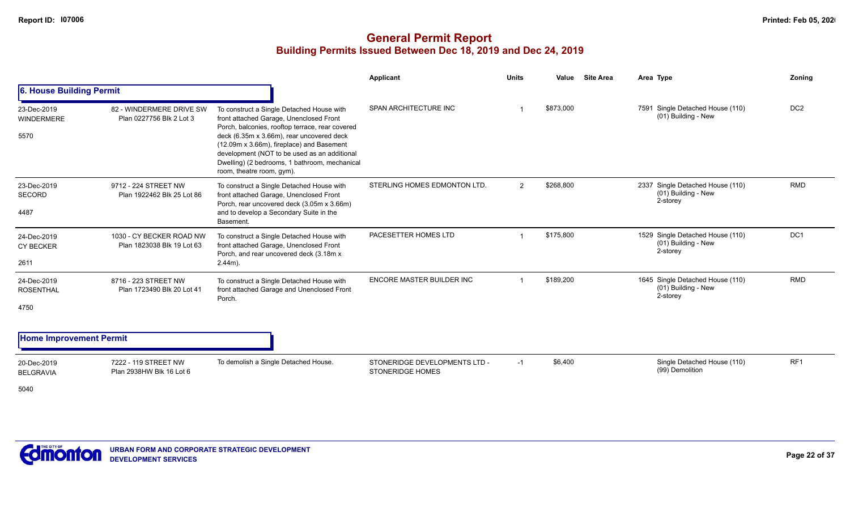|                                  |                                                        |                                                                                                                                                                                      | <b>Applicant</b>                                         | <b>Units</b> | Value     | <b>Site Area</b> | Area Type                                                           | Zoning          |
|----------------------------------|--------------------------------------------------------|--------------------------------------------------------------------------------------------------------------------------------------------------------------------------------------|----------------------------------------------------------|--------------|-----------|------------------|---------------------------------------------------------------------|-----------------|
| 6. House Building Permit         |                                                        |                                                                                                                                                                                      |                                                          |              |           |                  |                                                                     |                 |
| 23-Dec-2019<br><b>WINDERMERE</b> | 82 - WINDERMERE DRIVE SW<br>Plan 0227756 Blk 2 Lot 3   | To construct a Single Detached House with<br>front attached Garage, Unenclosed Front<br>Porch, balconies, rooftop terrace, rear covered<br>deck (6.35m x 3.66m), rear uncovered deck | SPAN ARCHITECTURE INC                                    |              | \$873,000 |                  | 7591 Single Detached House (110)<br>(01) Building - New             | DC <sub>2</sub> |
| 5570                             |                                                        | (12.09m x 3.66m), fireplace) and Basement<br>development (NOT to be used as an additional<br>Dwelling) (2 bedrooms, 1 bathroom, mechanical<br>room, theatre room, gym).              |                                                          |              |           |                  |                                                                     |                 |
| 23-Dec-2019<br>SECORD            | 9712 - 224 STREET NW<br>Plan 1922462 Blk 25 Lot 86     | To construct a Single Detached House with<br>front attached Garage, Unenclosed Front<br>Porch, rear uncovered deck (3.05m x 3.66m)                                                   | STERLING HOMES EDMONTON LTD.                             | 2            | \$268,800 |                  | 2337 Single Detached House (110)<br>(01) Building - New<br>2-storey | <b>RMD</b>      |
| 4487                             |                                                        | and to develop a Secondary Suite in the<br>Basement.                                                                                                                                 |                                                          |              |           |                  |                                                                     |                 |
| 24-Dec-2019<br><b>CY BECKER</b>  | 1030 - CY BECKER ROAD NW<br>Plan 1823038 Blk 19 Lot 63 | To construct a Single Detached House with<br>front attached Garage, Unenclosed Front<br>Porch, and rear uncovered deck (3.18m x                                                      | PACESETTER HOMES LTD                                     |              | \$175,800 |                  | 1529 Single Detached House (110)<br>(01) Building - New<br>2-storey | DC1             |
| 2611                             |                                                        | $2.44m$ ).                                                                                                                                                                           |                                                          |              |           |                  |                                                                     |                 |
| 24-Dec-2019<br><b>ROSENTHAL</b>  | 8716 - 223 STREET NW<br>Plan 1723490 Blk 20 Lot 41     | To construct a Single Detached House with<br>front attached Garage and Unenclosed Front<br>Porch.                                                                                    | <b>ENCORE MASTER BUILDER INC</b>                         |              | \$189,200 |                  | 1645 Single Detached House (110)<br>(01) Building - New<br>2-storey | <b>RMD</b>      |
| 4750                             |                                                        |                                                                                                                                                                                      |                                                          |              |           |                  |                                                                     |                 |
| <b>Home Improvement Permit</b>   |                                                        |                                                                                                                                                                                      |                                                          |              |           |                  |                                                                     |                 |
| 20-Dec-2019<br><b>BELGRAVIA</b>  | 7222 - 119 STREET NW<br>Plan 2938HW Blk 16 Lot 6       | To demolish a Single Detached House.                                                                                                                                                 | STONERIDGE DEVELOPMENTS LTD -<br><b>STONERIDGE HOMES</b> | $-1$         | \$6,400   |                  | Single Detached House (110)<br>(99) Demolition                      | RF <sub>1</sub> |
| 5040                             |                                                        |                                                                                                                                                                                      |                                                          |              |           |                  |                                                                     |                 |

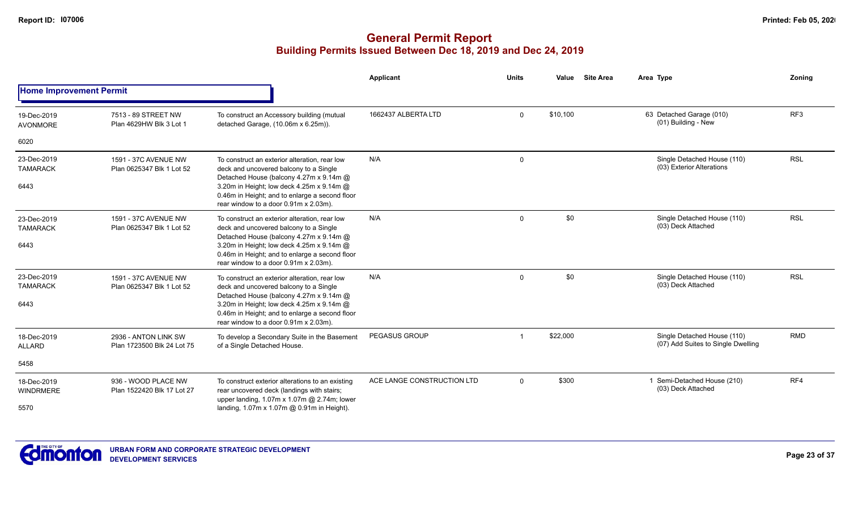|                                 |                                                    |                                                                                                                                               | <b>Applicant</b>           | <b>Units</b> | Value    | <b>Site Area</b> | Area Type                                                         | Zonina     |
|---------------------------------|----------------------------------------------------|-----------------------------------------------------------------------------------------------------------------------------------------------|----------------------------|--------------|----------|------------------|-------------------------------------------------------------------|------------|
| <b>Home Improvement Permit</b>  |                                                    |                                                                                                                                               |                            |              |          |                  |                                                                   |            |
| 19-Dec-2019<br><b>AVONMORE</b>  | 7513 - 89 STREET NW<br>Plan 4629HW Blk 3 Lot 1     | To construct an Accessory building (mutual<br>detached Garage, (10.06m x 6.25m)).                                                             | 1662437 ALBERTA LTD        | $\mathbf 0$  | \$10,100 |                  | 63 Detached Garage (010)<br>(01) Building - New                   | RF3        |
| 6020                            |                                                    |                                                                                                                                               |                            |              |          |                  |                                                                   |            |
| 23-Dec-2019<br><b>TAMARACK</b>  | 1591 - 37C AVENUE NW<br>Plan 0625347 Blk 1 Lot 52  | To construct an exterior alteration, rear low<br>deck and uncovered balcony to a Single<br>Detached House (balcony 4.27m x 9.14m @            | N/A                        | 0            |          |                  | Single Detached House (110)<br>(03) Exterior Alterations          | <b>RSL</b> |
| 6443                            |                                                    | 3.20m in Height; low deck 4.25m x 9.14m @<br>0.46m in Height; and to enlarge a second floor<br>rear window to a door 0.91m x 2.03m).          |                            |              |          |                  |                                                                   |            |
| 23-Dec-2019<br><b>TAMARACK</b>  | 1591 - 37C AVENUE NW<br>Plan 0625347 Blk 1 Lot 52  | To construct an exterior alteration, rear low<br>deck and uncovered balcony to a Single<br>Detached House (balcony 4.27m x 9.14m @            | N/A                        | 0            | \$0      |                  | Single Detached House (110)<br>(03) Deck Attached                 | <b>RSL</b> |
| 6443                            |                                                    | 3.20m in Height; low deck 4.25m x 9.14m @<br>0.46m in Height; and to enlarge a second floor<br>rear window to a door 0.91m x 2.03m).          |                            |              |          |                  |                                                                   |            |
| 23-Dec-2019<br><b>TAMARACK</b>  | 1591 - 37C AVENUE NW<br>Plan 0625347 Blk 1 Lot 52  | To construct an exterior alteration, rear low<br>deck and uncovered balcony to a Single<br>Detached House (balcony 4.27m x 9.14m @            | N/A                        | 0            | \$0      |                  | Single Detached House (110)<br>(03) Deck Attached                 | <b>RSL</b> |
| 6443                            |                                                    | 3.20m in Height; low deck 4.25m x 9.14m @<br>0.46m in Height; and to enlarge a second floor<br>rear window to a door 0.91m x 2.03m).          |                            |              |          |                  |                                                                   |            |
| 18-Dec-2019<br>ALLARD           | 2936 - ANTON LINK SW<br>Plan 1723500 Blk 24 Lot 75 | To develop a Secondary Suite in the Basement<br>of a Single Detached House.                                                                   | <b>PEGASUS GROUP</b>       | -1           | \$22,000 |                  | Single Detached House (110)<br>(07) Add Suites to Single Dwelling | <b>RMD</b> |
| 5458                            |                                                    |                                                                                                                                               |                            |              |          |                  |                                                                   |            |
| 18-Dec-2019<br><b>WINDRMERE</b> | 936 - WOOD PLACE NW<br>Plan 1522420 Blk 17 Lot 27  | To construct exterior alterations to an existing<br>rear uncovered deck (landings with stairs;<br>upper landing, 1.07m x 1.07m @ 2.74m; lower | ACE LANGE CONSTRUCTION LTD | $\mathbf 0$  | \$300    |                  | 1 Semi-Detached House (210)<br>(03) Deck Attached                 | RF4        |
| 5570                            |                                                    | landing, 1.07m x 1.07m @ 0.91m in Height).                                                                                                    |                            |              |          |                  |                                                                   |            |

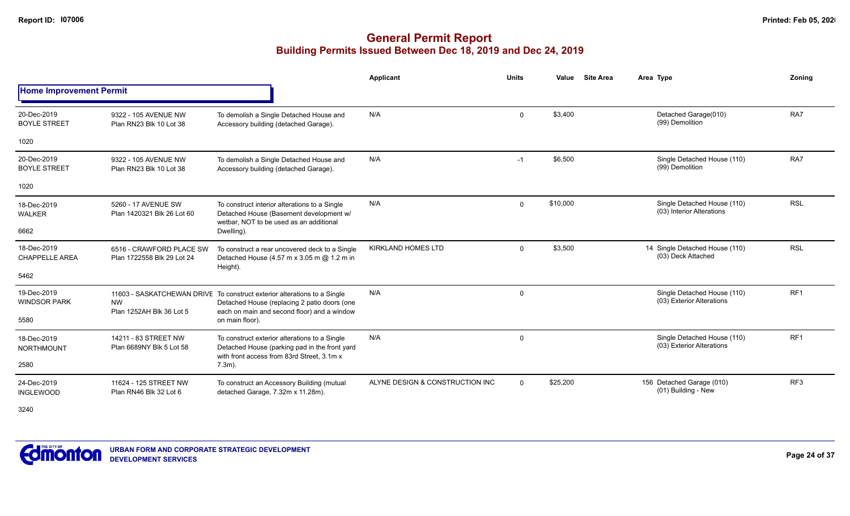# **General Permit Report Building Permits Issued Between Dec 18, 2019 and Dec 24, 2019**

|                                      |                                                        |                                                                                                                                              | Applicant                       | <b>Units</b> | Value    | <b>Site Area</b> | Area Type                                                | Zoning          |
|--------------------------------------|--------------------------------------------------------|----------------------------------------------------------------------------------------------------------------------------------------------|---------------------------------|--------------|----------|------------------|----------------------------------------------------------|-----------------|
| <b>Home Improvement Permit</b>       |                                                        |                                                                                                                                              |                                 |              |          |                  |                                                          |                 |
| 20-Dec-2019<br><b>BOYLE STREET</b>   | 9322 - 105 AVENUE NW<br>Plan RN23 Blk 10 Lot 38        | To demolish a Single Detached House and<br>Accessory building (detached Garage).                                                             | N/A                             | $\mathbf{0}$ | \$3,400  |                  | Detached Garage(010)<br>(99) Demolition                  | RA7             |
| 1020                                 |                                                        |                                                                                                                                              |                                 |              |          |                  |                                                          |                 |
| 20-Dec-2019<br><b>BOYLE STREET</b>   | 9322 - 105 AVENUE NW<br>Plan RN23 Blk 10 Lot 38        | To demolish a Single Detached House and<br>Accessory building (detached Garage).                                                             | N/A                             | $-1$         | \$6,500  |                  | Single Detached House (110)<br>(99) Demolition           | RA7             |
| 1020                                 |                                                        |                                                                                                                                              |                                 |              |          |                  |                                                          |                 |
| 18-Dec-2019<br><b>WALKER</b>         | 5260 - 17 AVENUE SW<br>Plan 1420321 Blk 26 Lot 60      | To construct interior alterations to a Single<br>Detached House (Basement development w/<br>wetbar. NOT to be used as an additional          | N/A                             | $\Omega$     | \$10,000 |                  | Single Detached House (110)<br>(03) Interior Alterations | <b>RSL</b>      |
| 6662                                 |                                                        | Dwelling).                                                                                                                                   |                                 |              |          |                  |                                                          |                 |
| 18-Dec-2019<br><b>CHAPPELLE AREA</b> | 6516 - CRAWFORD PLACE SW<br>Plan 1722558 Blk 29 Lot 24 | To construct a rear uncovered deck to a Single<br>Detached House (4.57 m x 3.05 m @ 1.2 m in<br>Height).                                     | <b>KIRKLAND HOMES LTD</b>       | $\Omega$     | \$3,500  |                  | 14 Single Detached House (110)<br>(03) Deck Attached     | <b>RSL</b>      |
| 5462                                 |                                                        |                                                                                                                                              |                                 |              |          |                  |                                                          |                 |
| 19-Dec-2019<br><b>WINDSOR PARK</b>   | <b>NW</b><br>Plan 1252AH Blk 36 Lot 5                  | 11603 - SASKATCHEWAN DRIVE To construct exterior alterations to a Single<br>Detached House (replacing 2 patio doors (one                     | N/A                             | $\mathbf{0}$ |          |                  | Single Detached House (110)<br>(03) Exterior Alterations | RF <sub>1</sub> |
| 5580                                 |                                                        | each on main and second floor) and a window<br>on main floor).                                                                               |                                 |              |          |                  |                                                          |                 |
| 18-Dec-2019<br><b>NORTHMOUNT</b>     | 14211 - 83 STREET NW<br>Plan 6689NY Blk 5 Lot 58       | To construct exterior alterations to a Single<br>Detached House (parking pad in the front yard<br>with front access from 83rd Street, 3.1m x | N/A                             | $\mathbf 0$  |          |                  | Single Detached House (110)<br>(03) Exterior Alterations | RF <sub>1</sub> |
| 2580                                 |                                                        | $7.3m$ ).                                                                                                                                    |                                 |              |          |                  |                                                          |                 |
| 24-Dec-2019<br><b>INGLEWOOD</b>      | 11624 - 125 STREET NW<br>Plan RN46 Blk 32 Lot 6        | To construct an Accessory Building (mutual<br>detached Garage, 7.32m x 11.28m).                                                              | ALYNE DESIGN & CONSTRUCTION INC | $\Omega$     | \$25,200 |                  | 156 Detached Garage (010)<br>(01) Building - New         | RF <sub>3</sub> |
|                                      |                                                        |                                                                                                                                              |                                 |              |          |                  |                                                          |                 |

3240

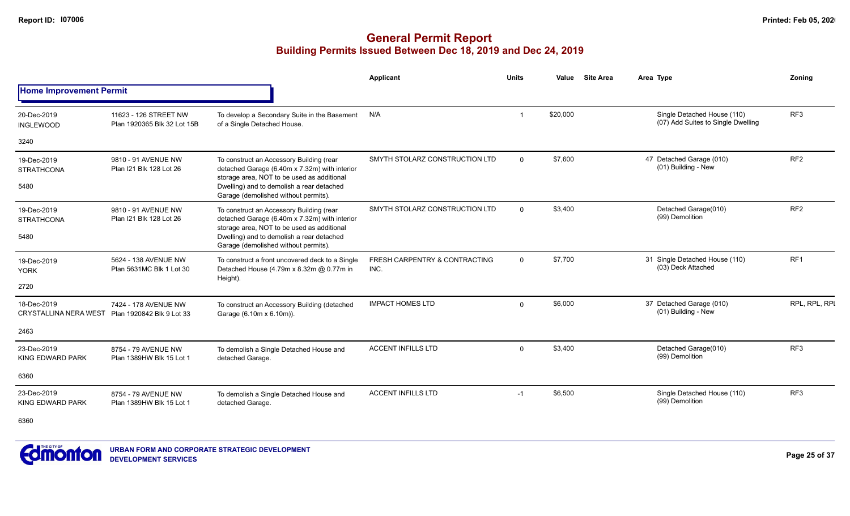|                                                                |                                                      |                                                                                                                                         | Applicant                             | <b>Units</b> | Value    | <b>Site Area</b> | Area Type                                                         | Zoning          |
|----------------------------------------------------------------|------------------------------------------------------|-----------------------------------------------------------------------------------------------------------------------------------------|---------------------------------------|--------------|----------|------------------|-------------------------------------------------------------------|-----------------|
| <b>Home Improvement Permit</b>                                 |                                                      |                                                                                                                                         |                                       |              |          |                  |                                                                   |                 |
| 20-Dec-2019<br><b>INGLEWOOD</b>                                | 11623 - 126 STREET NW<br>Plan 1920365 Blk 32 Lot 15B | To develop a Secondary Suite in the Basement<br>of a Single Detached House.                                                             | N/A                                   |              | \$20,000 |                  | Single Detached House (110)<br>(07) Add Suites to Single Dwelling | RF3             |
| 3240                                                           |                                                      |                                                                                                                                         |                                       |              |          |                  |                                                                   |                 |
| 19-Dec-2019<br><b>STRATHCONA</b>                               | 9810 - 91 AVENUE NW<br>Plan I21 Blk 128 Lot 26       | To construct an Accessory Building (rear<br>detached Garage (6.40m x 7.32m) with interior<br>storage area, NOT to be used as additional | SMYTH STOLARZ CONSTRUCTION LTD        | $\Omega$     | \$7,600  |                  | 47 Detached Garage (010)<br>(01) Building - New                   | RF <sub>2</sub> |
| 5480                                                           |                                                      | Dwelling) and to demolish a rear detached<br>Garage (demolished without permits).                                                       |                                       |              |          |                  |                                                                   |                 |
| 19-Dec-2019<br><b>STRATHCONA</b>                               | 9810 - 91 AVENUE NW<br>Plan I21 Blk 128 Lot 26       | To construct an Accessory Building (rear<br>detached Garage (6.40m x 7.32m) with interior<br>storage area, NOT to be used as additional | SMYTH STOLARZ CONSTRUCTION LTD        | $\Omega$     | \$3,400  |                  | Detached Garage(010)<br>(99) Demolition                           | RF <sub>2</sub> |
| 5480                                                           |                                                      | Dwelling) and to demolish a rear detached<br>Garage (demolished without permits).                                                       |                                       |              |          |                  |                                                                   |                 |
| 19-Dec-2019<br><b>YORK</b>                                     | 5624 - 138 AVENUE NW<br>Plan 5631MC Blk 1 Lot 30     | To construct a front uncovered deck to a Single<br>Detached House (4.79m x 8.32m @ 0.77m in<br>Height).                                 | FRESH CARPENTRY & CONTRACTING<br>INC. | $\mathbf 0$  | \$7,700  |                  | 31 Single Detached House (110)<br>(03) Deck Attached              | RF <sub>1</sub> |
| 2720                                                           |                                                      |                                                                                                                                         |                                       |              |          |                  |                                                                   |                 |
| 18-Dec-2019<br>CRYSTALLINA NERA WEST Plan 1920842 Blk 9 Lot 33 | 7424 - 178 AVENUE NW                                 | To construct an Accessory Building (detached<br>Garage (6.10m x 6.10m)).                                                                | <b>IMPACT HOMES LTD</b>               | $\mathbf 0$  | \$6,000  |                  | 37 Detached Garage (010)<br>(01) Building - New                   | RPL, RPL, RPI   |
| 2463                                                           |                                                      |                                                                                                                                         |                                       |              |          |                  |                                                                   |                 |
| 23-Dec-2019<br><b>KING EDWARD PARK</b>                         | 8754 - 79 AVENUE NW<br>Plan 1389HW Blk 15 Lot 1      | To demolish a Single Detached House and<br>detached Garage.                                                                             | <b>ACCENT INFILLS LTD</b>             | $\Omega$     | \$3,400  |                  | Detached Garage(010)<br>(99) Demolition                           | RF3             |
| 6360                                                           |                                                      |                                                                                                                                         |                                       |              |          |                  |                                                                   |                 |
| 23-Dec-2019<br><b>KING EDWARD PARK</b>                         | 8754 - 79 AVENUE NW<br>Plan 1389HW Blk 15 Lot 1      | To demolish a Single Detached House and<br>detached Garage.                                                                             | <b>ACCENT INFILLS LTD</b>             | $-1$         | \$6,500  |                  | Single Detached House (110)<br>(99) Demolition                    | RF <sub>3</sub> |
| 6360                                                           |                                                      |                                                                                                                                         |                                       |              |          |                  |                                                                   |                 |

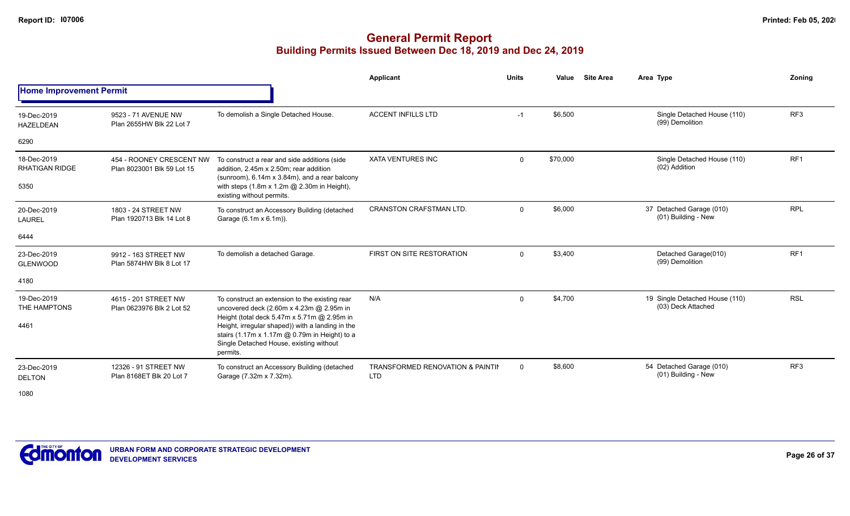|                                      |                                                        |                                                                                                                                                                                                         | Applicant                                                 | <b>Units</b>   | Value    | <b>Site Area</b> | Area Type                                            | Zonina          |
|--------------------------------------|--------------------------------------------------------|---------------------------------------------------------------------------------------------------------------------------------------------------------------------------------------------------------|-----------------------------------------------------------|----------------|----------|------------------|------------------------------------------------------|-----------------|
| <b>Home Improvement Permit</b>       |                                                        |                                                                                                                                                                                                         |                                                           |                |          |                  |                                                      |                 |
| 19-Dec-2019<br><b>HAZELDEAN</b>      | 9523 - 71 AVENUE NW<br>Plan 2655HW Blk 22 Lot 7        | To demolish a Single Detached House.                                                                                                                                                                    | <b>ACCENT INFILLS LTD</b>                                 | $-1$           | \$6,500  |                  | Single Detached House (110)<br>(99) Demolition       | RF3             |
| 6290                                 |                                                        |                                                                                                                                                                                                         |                                                           |                |          |                  |                                                      |                 |
| 18-Dec-2019<br><b>RHATIGAN RIDGE</b> | 454 - ROONEY CRESCENT NW<br>Plan 8023001 Blk 59 Lot 15 | To construct a rear and side additions (side<br>addition, 2.45m x 2.50m; rear addition<br>(sunroom), 6.14m x 3.84m), and a rear balcony                                                                 | <b>XATA VENTURES INC</b>                                  | $\mathbf 0$    | \$70,000 |                  | Single Detached House (110)<br>(02) Addition         | RF <sub>1</sub> |
| 5350                                 |                                                        | with steps (1.8m x 1.2m @ 2.30m in Height),<br>existing without permits.                                                                                                                                |                                                           |                |          |                  |                                                      |                 |
| 20-Dec-2019<br><b>LAUREL</b>         | 1803 - 24 STREET NW<br>Plan 1920713 Blk 14 Lot 8       | To construct an Accessory Building (detached<br>Garage (6.1m x 6.1m)).                                                                                                                                  | <b>CRANSTON CRAFSTMAN LTD.</b>                            | $\mathbf{0}$   | \$6,000  |                  | 37 Detached Garage (010)<br>(01) Building - New      | <b>RPL</b>      |
| 6444                                 |                                                        |                                                                                                                                                                                                         |                                                           |                |          |                  |                                                      |                 |
| 23-Dec-2019<br><b>GLENWOOD</b>       | 9912 - 163 STREET NW<br>Plan 5874HW Blk 8 Lot 17       | To demolish a detached Garage.                                                                                                                                                                          | FIRST ON SITE RESTORATION                                 | $\mathbf 0$    | \$3,400  |                  | Detached Garage(010)<br>(99) Demolition              | RF <sub>1</sub> |
| 4180                                 |                                                        |                                                                                                                                                                                                         |                                                           |                |          |                  |                                                      |                 |
| 19-Dec-2019<br>THE HAMPTONS          | 4615 - 201 STREET NW<br>Plan 0623976 Blk 2 Lot 52      | To construct an extension to the existing rear<br>uncovered deck (2.60m x 4.23m @ 2.95m in                                                                                                              | N/A                                                       | $\mathbf 0$    | \$4,700  |                  | 19 Single Detached House (110)<br>(03) Deck Attached | <b>RSL</b>      |
| 4461                                 |                                                        | Height (total deck 5.47m x 5.71m @ 2.95m in<br>Height, irregular shaped)) with a landing in the<br>stairs (1.17m x 1.17m @ 0.79m in Height) to a<br>Single Detached House, existing without<br>permits. |                                                           |                |          |                  |                                                      |                 |
| 23-Dec-2019<br><b>DELTON</b>         | 12326 - 91 STREET NW<br>Plan 8168ET Blk 20 Lot 7       | To construct an Accessory Building (detached<br>Garage (7.32m x 7.32m).                                                                                                                                 | <b>TRANSFORMED RENOVATION &amp; PAINTIN</b><br><b>LTD</b> | $\overline{0}$ | \$8,600  |                  | 54 Detached Garage (010)<br>(01) Building - New      | RF <sub>3</sub> |
| 1080                                 |                                                        |                                                                                                                                                                                                         |                                                           |                |          |                  |                                                      |                 |

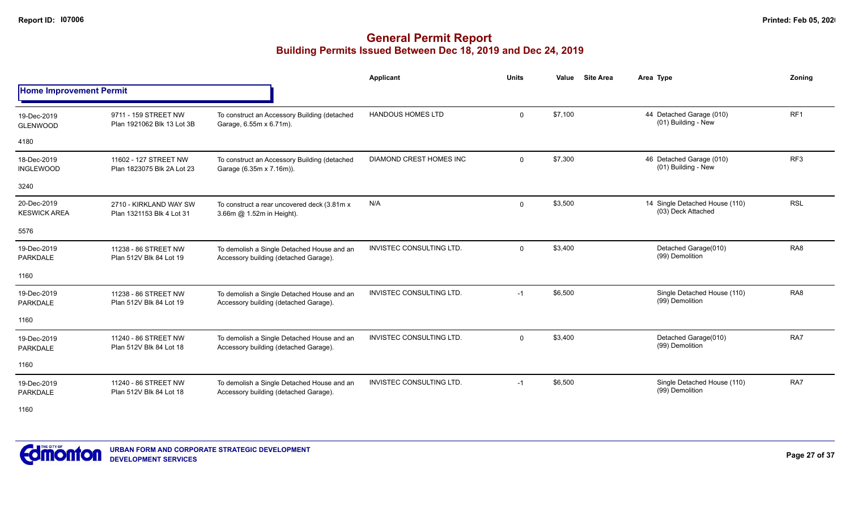### **General Permit Report Building Permits Issued Between Dec 18, 2019 and Dec 24, 2019**

|                                    |                                                     |                                                                                     | Applicant                       | <b>Units</b> | Value   | <b>Site Area</b> | Area Type                                            | Zonina          |
|------------------------------------|-----------------------------------------------------|-------------------------------------------------------------------------------------|---------------------------------|--------------|---------|------------------|------------------------------------------------------|-----------------|
| <b>Home Improvement Permit</b>     |                                                     |                                                                                     |                                 |              |         |                  |                                                      |                 |
| 19-Dec-2019<br><b>GLENWOOD</b>     | 9711 - 159 STREET NW<br>Plan 1921062 Blk 13 Lot 3B  | To construct an Accessory Building (detached<br>Garage, 6.55m x 6.71m).             | <b>HANDOUS HOMES LTD</b>        | $\mathbf{0}$ | \$7,100 |                  | 44 Detached Garage (010)<br>(01) Building - New      | RF <sub>1</sub> |
| 4180                               |                                                     |                                                                                     |                                 |              |         |                  |                                                      |                 |
| 18-Dec-2019<br><b>INGLEWOOD</b>    | 11602 - 127 STREET NW<br>Plan 1823075 Blk 2A Lot 23 | To construct an Accessory Building (detached<br>Garage (6.35m x 7.16m)).            | <b>DIAMOND CREST HOMES INC</b>  | $\mathbf{0}$ | \$7,300 |                  | 46 Detached Garage (010)<br>(01) Building - New      | RF <sub>3</sub> |
| 3240                               |                                                     |                                                                                     |                                 |              |         |                  |                                                      |                 |
| 20-Dec-2019<br><b>KESWICK AREA</b> | 2710 - KIRKLAND WAY SW<br>Plan 1321153 Blk 4 Lot 31 | To construct a rear uncovered deck (3.81m x)<br>3.66m @ 1.52m in Height).           | N/A                             | $\mathbf 0$  | \$3,500 |                  | 14 Single Detached House (110)<br>(03) Deck Attached | <b>RSL</b>      |
| 5576                               |                                                     |                                                                                     |                                 |              |         |                  |                                                      |                 |
| 19-Dec-2019<br><b>PARKDALE</b>     | 11238 - 86 STREET NW<br>Plan 512V Blk 84 Lot 19     | To demolish a Single Detached House and an<br>Accessory building (detached Garage). | <b>INVISTEC CONSULTING LTD.</b> | $\mathbf{0}$ | \$3,400 |                  | Detached Garage(010)<br>(99) Demolition              | RA <sub>8</sub> |
| 1160                               |                                                     |                                                                                     |                                 |              |         |                  |                                                      |                 |
| 19-Dec-2019<br>PARKDALE            | 11238 - 86 STREET NW<br>Plan 512V Blk 84 Lot 19     | To demolish a Single Detached House and an<br>Accessory building (detached Garage). | <b>INVISTEC CONSULTING LTD.</b> | $-1$         | \$6,500 |                  | Single Detached House (110)<br>(99) Demolition       | RA <sub>8</sub> |
| 1160                               |                                                     |                                                                                     |                                 |              |         |                  |                                                      |                 |
| 19-Dec-2019<br>PARKDALE            | 11240 - 86 STREET NW<br>Plan 512V Blk 84 Lot 18     | To demolish a Single Detached House and an<br>Accessory building (detached Garage). | <b>INVISTEC CONSULTING LTD.</b> | $\mathbf 0$  | \$3,400 |                  | Detached Garage(010)<br>(99) Demolition              | RA7             |
| 1160                               |                                                     |                                                                                     |                                 |              |         |                  |                                                      |                 |
| 19-Dec-2019<br><b>PARKDALE</b>     | 11240 - 86 STREET NW<br>Plan 512V Blk 84 Lot 18     | To demolish a Single Detached House and an<br>Accessory building (detached Garage). | <b>INVISTEC CONSULTING LTD.</b> | $-1$         | \$6,500 |                  | Single Detached House (110)<br>(99) Demolition       | RA7             |

1160

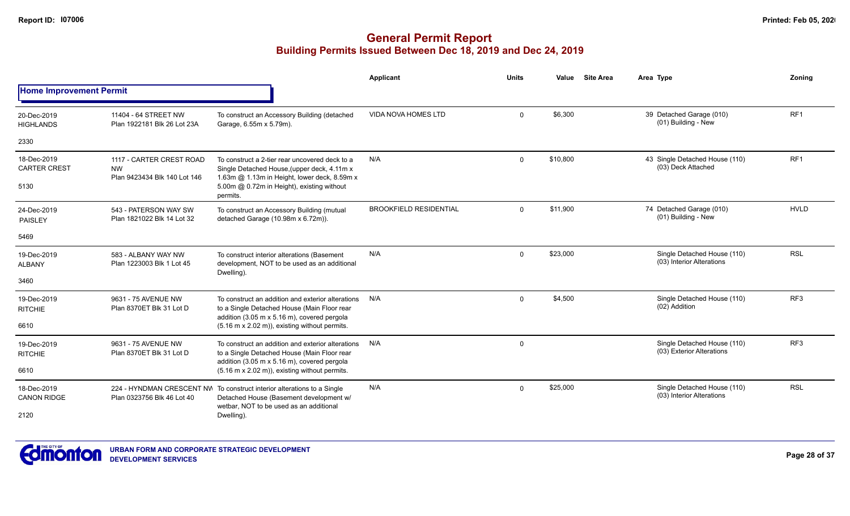|                                    |                                                                       |                                                                                                                                                               | Applicant                     | Units       | Value    | <b>Site Area</b> | Area Type                                                | Zoning          |
|------------------------------------|-----------------------------------------------------------------------|---------------------------------------------------------------------------------------------------------------------------------------------------------------|-------------------------------|-------------|----------|------------------|----------------------------------------------------------|-----------------|
| <b>Home Improvement Permit</b>     |                                                                       |                                                                                                                                                               |                               |             |          |                  |                                                          |                 |
| 20-Dec-2019<br><b>HIGHLANDS</b>    | 11404 - 64 STREET NW<br>Plan 1922181 Blk 26 Lot 23A                   | To construct an Accessory Building (detached<br>Garage, 6.55m x 5.79m).                                                                                       | <b>VIDA NOVA HOMES LTD</b>    | $\Omega$    | \$6,300  |                  | 39 Detached Garage (010)<br>(01) Building - New          | RF <sub>1</sub> |
| 2330                               |                                                                       |                                                                                                                                                               |                               |             |          |                  |                                                          |                 |
| 18-Dec-2019<br><b>CARTER CREST</b> | 1117 - CARTER CREST ROAD<br><b>NW</b><br>Plan 9423434 Blk 140 Lot 146 | To construct a 2-tier rear uncovered deck to a<br>Single Detached House, (upper deck, 4.11m x<br>1.63m @ 1.13m in Height, lower deck, 8.59m x                 | N/A                           | $\Omega$    | \$10,800 |                  | 43 Single Detached House (110)<br>(03) Deck Attached     | RF <sub>1</sub> |
| 5130                               |                                                                       | 5.00m @ 0.72m in Height), existing without<br>permits.                                                                                                        |                               |             |          |                  |                                                          |                 |
| 24-Dec-2019<br><b>PAISLEY</b>      | 543 - PATERSON WAY SW<br>Plan 1821022 Blk 14 Lot 32                   | To construct an Accessory Building (mutual<br>detached Garage (10.98m x 6.72m)).                                                                              | <b>BROOKFIELD RESIDENTIAL</b> | $\Omega$    | \$11,900 |                  | 74 Detached Garage (010)<br>(01) Building - New          | <b>HVLD</b>     |
| 5469                               |                                                                       |                                                                                                                                                               |                               |             |          |                  |                                                          |                 |
| 19-Dec-2019<br><b>ALBANY</b>       | 583 - ALBANY WAY NW<br>Plan 1223003 Blk 1 Lot 45                      | To construct interior alterations (Basement<br>development, NOT to be used as an additional<br>Dwelling).                                                     | N/A                           | $\mathbf 0$ | \$23,000 |                  | Single Detached House (110)<br>(03) Interior Alterations | <b>RSL</b>      |
| 3460                               |                                                                       |                                                                                                                                                               |                               |             |          |                  |                                                          |                 |
| 19-Dec-2019<br><b>RITCHIE</b>      | 9631 - 75 AVENUE NW<br>Plan 8370ET Blk 31 Lot D                       | To construct an addition and exterior alterations<br>to a Single Detached House (Main Floor rear<br>addition (3.05 m x 5.16 m), covered pergola               | N/A                           | $\Omega$    | \$4,500  |                  | Single Detached House (110)<br>(02) Addition             | RF <sub>3</sub> |
| 6610                               |                                                                       | (5.16 m x 2.02 m)), existing without permits.                                                                                                                 |                               |             |          |                  |                                                          |                 |
| 19-Dec-2019<br><b>RITCHIE</b>      | 9631 - 75 AVENUE NW<br>Plan 8370ET Blk 31 Lot D                       | To construct an addition and exterior alterations<br>to a Single Detached House (Main Floor rear<br>addition (3.05 m x 5.16 m), covered pergola               | N/A                           | $\mathbf 0$ |          |                  | Single Detached House (110)<br>(03) Exterior Alterations | RF3             |
| 6610                               |                                                                       | (5.16 m x 2.02 m)), existing without permits.                                                                                                                 |                               |             |          |                  |                                                          |                 |
| 18-Dec-2019<br><b>CANON RIDGE</b>  | Plan 0323756 Blk 46 Lot 40                                            | 224 - HYNDMAN CRESCENT NW To construct interior alterations to a Single<br>Detached House (Basement development w/<br>wetbar. NOT to be used as an additional | N/A                           | $\Omega$    | \$25,000 |                  | Single Detached House (110)<br>(03) Interior Alterations | <b>RSL</b>      |
| 2120                               |                                                                       | Dwelling).                                                                                                                                                    |                               |             |          |                  |                                                          |                 |

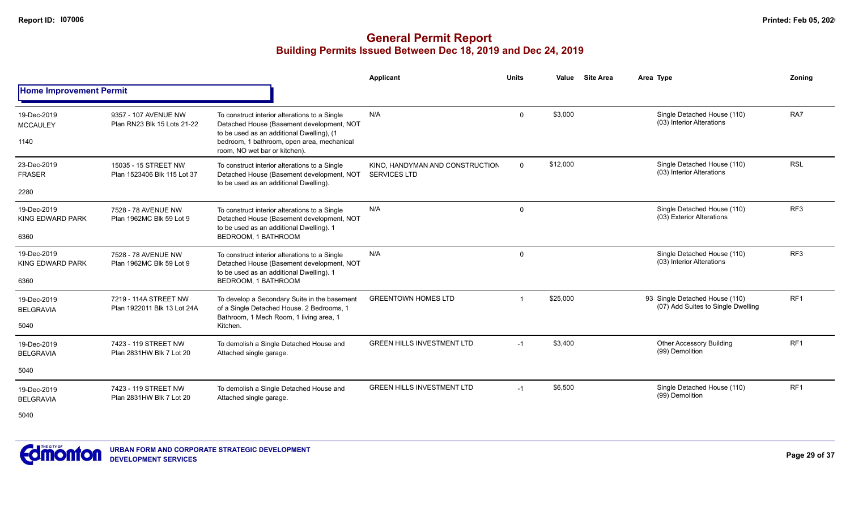#### **General Permit Report Building Permits Issued Between Dec 18, 2019 and Dec 24, 2019**

|                                        |                                                      |                                                                                                                                         | Applicant                                              | <b>Units</b> | Value    | <b>Site Area</b> | Area Type                                                                                                            | Zoning          |
|----------------------------------------|------------------------------------------------------|-----------------------------------------------------------------------------------------------------------------------------------------|--------------------------------------------------------|--------------|----------|------------------|----------------------------------------------------------------------------------------------------------------------|-----------------|
| <b>Home Improvement Permit</b>         |                                                      |                                                                                                                                         |                                                        |              |          |                  | Single Detached House (110)<br>(03) Interior Alterations<br>Single Detached House (110)<br>(03) Interior Alterations |                 |
| 19-Dec-2019<br><b>MCCAULEY</b>         | 9357 - 107 AVENUE NW<br>Plan RN23 Blk 15 Lots 21-22  | To construct interior alterations to a Single<br>Detached House (Basement development, NOT<br>to be used as an additional Dwelling), (1 | N/A                                                    | $\Omega$     | \$3.000  |                  |                                                                                                                      | RA7             |
| 1140                                   |                                                      | bedroom, 1 bathroom, open area, mechanical<br>room, NO wet bar or kitchen).                                                             |                                                        |              |          |                  |                                                                                                                      |                 |
| 23-Dec-2019<br><b>FRASER</b>           | 15035 - 15 STREET NW<br>Plan 1523406 Blk 115 Lot 37  | To construct interior alterations to a Single<br>Detached House (Basement development, NOT<br>to be used as an additional Dwelling).    | KINO. HANDYMAN AND CONSTRUCTION<br><b>SERVICES LTD</b> | $\Omega$     | \$12,000 |                  |                                                                                                                      | <b>RSL</b>      |
| 2280                                   |                                                      |                                                                                                                                         |                                                        |              |          |                  |                                                                                                                      |                 |
| 19-Dec-2019<br><b>KING EDWARD PARK</b> | 7528 - 78 AVENUE NW<br>Plan 1962MC Blk 59 Lot 9      | To construct interior alterations to a Single<br>Detached House (Basement development, NOT                                              | N/A                                                    | $\Omega$     |          |                  | Single Detached House (110)<br>(03) Exterior Alterations                                                             | RF <sub>3</sub> |
| 6360                                   |                                                      | to be used as an additional Dwelling). 1<br>BEDROOM. 1 BATHROOM                                                                         |                                                        |              |          |                  |                                                                                                                      |                 |
| 19-Dec-2019<br><b>KING EDWARD PARK</b> | 7528 - 78 AVENUE NW<br>Plan 1962MC Blk 59 Lot 9      | To construct interior alterations to a Single<br>Detached House (Basement development, NOT<br>to be used as an additional Dwelling). 1  | N/A                                                    | $\Omega$     |          |                  | Single Detached House (110)<br>(03) Interior Alterations                                                             | RF <sub>3</sub> |
| 6360                                   |                                                      | BEDROOM, 1 BATHROOM                                                                                                                     |                                                        |              |          |                  |                                                                                                                      |                 |
| 19-Dec-2019<br><b>BELGRAVIA</b>        | 7219 - 114A STREET NW<br>Plan 1922011 Blk 13 Lot 24A | To develop a Secondary Suite in the basement<br>of a Single Detached House. 2 Bedrooms, 1<br>Bathroom, 1 Mech Room, 1 living area, 1    | <b>GREENTOWN HOMES LTD</b>                             |              | \$25,000 |                  | 93 Single Detached House (110)<br>(07) Add Suites to Single Dwelling                                                 | RF <sub>1</sub> |
| 5040                                   |                                                      | Kitchen.                                                                                                                                |                                                        |              |          |                  |                                                                                                                      |                 |
| 19-Dec-2019<br><b>BELGRAVIA</b>        | 7423 - 119 STREET NW<br>Plan 2831HW Blk 7 Lot 20     | To demolish a Single Detached House and<br>Attached single garage.                                                                      | <b>GREEN HILLS INVESTMENT LTD</b>                      | $-1$         | \$3,400  |                  | <b>Other Accessory Building</b><br>(99) Demolition                                                                   | RF <sub>1</sub> |
| 5040                                   |                                                      |                                                                                                                                         |                                                        |              |          |                  |                                                                                                                      |                 |
| 19-Dec-2019<br><b>BELGRAVIA</b>        | 7423 - 119 STREET NW<br>Plan 2831HW Blk 7 Lot 20     | To demolish a Single Detached House and<br>Attached single garage.                                                                      | <b>GREEN HILLS INVESTMENT LTD</b>                      | $-1$         | \$6,500  |                  | Single Detached House (110)<br>(99) Demolition                                                                       | RF <sub>1</sub> |

5040

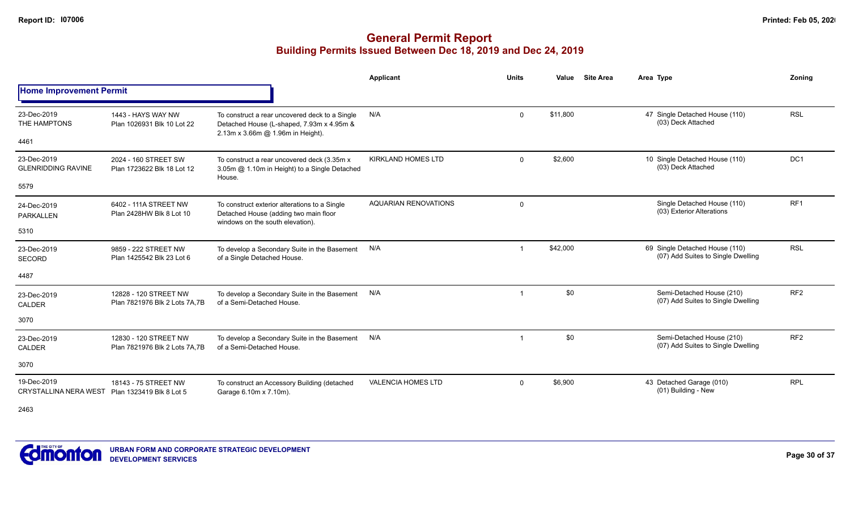### **General Permit Report Building Permits Issued Between Dec 18, 2019 and Dec 24, 2019**

|                                                  |                                                        |                                                                                                                                  | Applicant                   | <b>Units</b>   | Value    | <b>Site Area</b> | Area Type                                                            | Zoning          |
|--------------------------------------------------|--------------------------------------------------------|----------------------------------------------------------------------------------------------------------------------------------|-----------------------------|----------------|----------|------------------|----------------------------------------------------------------------|-----------------|
| <b>Home Improvement Permit</b>                   |                                                        |                                                                                                                                  |                             |                |          |                  |                                                                      |                 |
| 23-Dec-2019<br>THE HAMPTONS<br>4461              | 1443 - HAYS WAY NW<br>Plan 1026931 Blk 10 Lot 22       | To construct a rear uncovered deck to a Single<br>Detached House (L-shaped, 7.93m x 4.95m &<br>2.13m x 3.66m @ 1.96m in Height). | N/A                         | $\mathbf 0$    | \$11.800 |                  | 47 Single Detached House (110)<br>(03) Deck Attached                 | <b>RSL</b>      |
| 23-Dec-2019<br><b>GLENRIDDING RAVINE</b><br>5579 | 2024 - 160 STREET SW<br>Plan 1723622 Blk 18 Lot 12     | To construct a rear uncovered deck (3.35m x<br>3.05m @ 1.10m in Height) to a Single Detached<br>House.                           | <b>KIRKLAND HOMES LTD</b>   | $\Omega$       | \$2,600  |                  | 10 Single Detached House (110)<br>(03) Deck Attached                 | DC1             |
| 24-Dec-2019<br><b>PARKALLEN</b><br>5310          | 6402 - 111A STREET NW<br>Plan 2428HW Blk 8 Lot 10      | To construct exterior alterations to a Single<br>Detached House (adding two main floor<br>windows on the south elevation).       | <b>AQUARIAN RENOVATIONS</b> | $\mathbf 0$    |          |                  | Single Detached House (110)<br>(03) Exterior Alterations             | RF <sub>1</sub> |
| 23-Dec-2019<br><b>SECORD</b><br>4487             | 9859 - 222 STREET NW<br>Plan 1425542 Blk 23 Lot 6      | To develop a Secondary Suite in the Basement<br>of a Single Detached House.                                                      | N/A                         | $\overline{1}$ | \$42,000 |                  | 69 Single Detached House (110)<br>(07) Add Suites to Single Dwelling | <b>RSL</b>      |
| 23-Dec-2019<br><b>CALDER</b><br>3070             | 12828 - 120 STREET NW<br>Plan 7821976 Blk 2 Lots 7A.7B | To develop a Secondary Suite in the Basement<br>of a Semi-Detached House.                                                        | N/A                         | $\overline{1}$ | \$0      |                  | Semi-Detached House (210)<br>(07) Add Suites to Single Dwelling      | RF <sub>2</sub> |
| 23-Dec-2019<br>CALDER<br>3070                    | 12830 - 120 STREET NW<br>Plan 7821976 Blk 2 Lots 7A.7B | To develop a Secondary Suite in the Basement<br>of a Semi-Detached House.                                                        | N/A                         | $\overline{1}$ | \$0      |                  | Semi-Detached House (210)<br>(07) Add Suites to Single Dwelling      | RF <sub>2</sub> |
| 19-Dec-2019<br><b>CRYSTALLINA NERA WEST</b>      | 18143 - 75 STREET NW<br>Plan 1323419 Blk 8 Lot 5       | To construct an Accessory Building (detached<br>Garage 6.10m x 7.10m).                                                           | <b>VALENCIA HOMES LTD</b>   | $\Omega$       | \$6,900  |                  | 43 Detached Garage (010)<br>(01) Building - New                      | <b>RPL</b>      |

2463

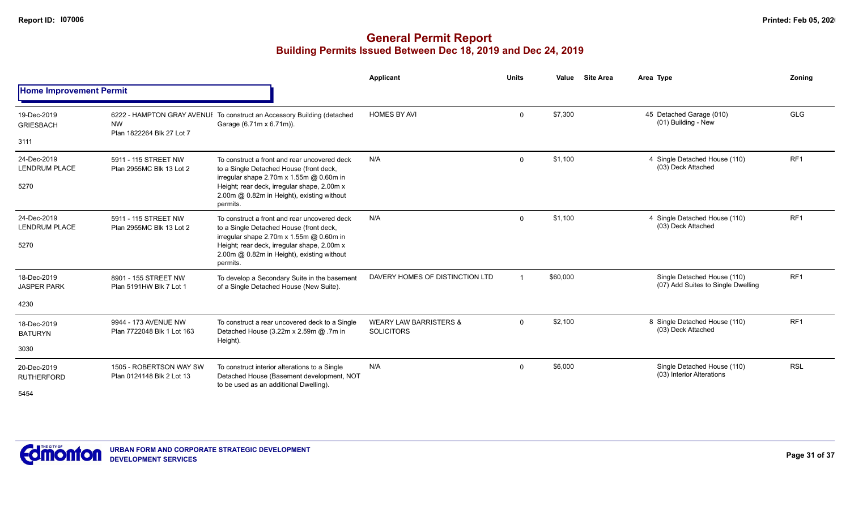|                                             |                                                      |                                                                                                                                                                                                                                                     | Applicant                                              | <b>Units</b>   | Value    | <b>Site Area</b> | Area Type                                                         | <b>Zoning</b>   |
|---------------------------------------------|------------------------------------------------------|-----------------------------------------------------------------------------------------------------------------------------------------------------------------------------------------------------------------------------------------------------|--------------------------------------------------------|----------------|----------|------------------|-------------------------------------------------------------------|-----------------|
| <b>Home Improvement Permit</b>              |                                                      |                                                                                                                                                                                                                                                     |                                                        |                |          |                  |                                                                   |                 |
| 19-Dec-2019<br><b>GRIESBACH</b>             | <b>NW</b><br>Plan 1822264 Blk 27 Lot 7               | 6222 - HAMPTON GRAY AVENUI To construct an Accessory Building (detached<br>Garage (6.71m x 6.71m)).                                                                                                                                                 | <b>HOMES BY AVI</b>                                    | $\mathbf 0$    | \$7,300  |                  | 45 Detached Garage (010)<br>(01) Building - New                   | <b>GLG</b>      |
| 3111                                        |                                                      |                                                                                                                                                                                                                                                     |                                                        |                |          |                  |                                                                   |                 |
| 24-Dec-2019<br><b>LENDRUM PLACE</b><br>5270 | 5911 - 115 STREET NW<br>Plan 2955MC Blk 13 Lot 2     | To construct a front and rear uncovered deck<br>to a Single Detached House (front deck,<br>irregular shape $2.70m \times 1.55m$ @ 0.60m in<br>Height; rear deck, irregular shape, 2.00m x<br>2.00m @ 0.82m in Height), existing without<br>permits. | N/A                                                    | $\Omega$       | \$1,100  |                  | 4 Single Detached House (110)<br>(03) Deck Attached               | RF <sub>1</sub> |
| 24-Dec-2019<br><b>LENDRUM PLACE</b><br>5270 | 5911 - 115 STREET NW<br>Plan 2955MC Blk 13 Lot 2     | To construct a front and rear uncovered deck<br>to a Single Detached House (front deck,<br>irregular shape 2.70m x 1.55m @ 0.60m in<br>Height; rear deck, irregular shape, 2.00m x<br>2.00m @ 0.82m in Height), existing without<br>permits.        | N/A                                                    | $\mathbf 0$    | \$1,100  |                  | 4 Single Detached House (110)<br>(03) Deck Attached               | RF <sub>1</sub> |
| 18-Dec-2019<br><b>JASPER PARK</b>           | 8901 - 155 STREET NW<br>Plan 5191HW Blk 7 Lot 1      | To develop a Secondary Suite in the basement<br>of a Single Detached House (New Suite).                                                                                                                                                             | DAVERY HOMES OF DISTINCTION LTD                        | $\overline{1}$ | \$60,000 |                  | Single Detached House (110)<br>(07) Add Suites to Single Dwelling | RF <sub>1</sub> |
| 4230                                        |                                                      |                                                                                                                                                                                                                                                     |                                                        |                |          |                  |                                                                   |                 |
| 18-Dec-2019<br><b>BATURYN</b>               | 9944 - 173 AVENUE NW<br>Plan 7722048 Blk 1 Lot 163   | To construct a rear uncovered deck to a Single<br>Detached House (3.22m x 2.59m @ .7m in<br>Height).                                                                                                                                                | <b>WEARY LAW BARRISTERS &amp;</b><br><b>SOLICITORS</b> | $\Omega$       | \$2,100  |                  | 8 Single Detached House (110)<br>(03) Deck Attached               | RF <sub>1</sub> |
| 3030                                        |                                                      |                                                                                                                                                                                                                                                     |                                                        |                |          |                  |                                                                   |                 |
| 20-Dec-2019<br><b>RUTHERFORD</b><br>5454    | 1505 - ROBERTSON WAY SW<br>Plan 0124148 Blk 2 Lot 13 | To construct interior alterations to a Single<br>Detached House (Basement development, NOT<br>to be used as an additional Dwelling).                                                                                                                | N/A                                                    | $\mathbf 0$    | \$6,000  |                  | Single Detached House (110)<br>(03) Interior Alterations          | <b>RSL</b>      |

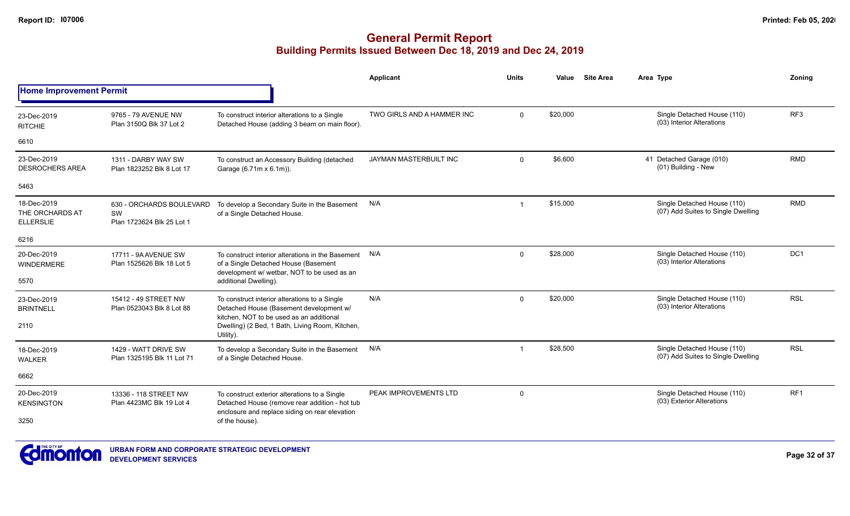|                                                    |                                                             |                                                                                                                                                                                         | <b>Applicant</b>              | <b>Units</b>            | Value    | <b>Site Area</b> | Area Type                                                         | Zoning          |
|----------------------------------------------------|-------------------------------------------------------------|-----------------------------------------------------------------------------------------------------------------------------------------------------------------------------------------|-------------------------------|-------------------------|----------|------------------|-------------------------------------------------------------------|-----------------|
| <b>Home Improvement Permit</b>                     |                                                             |                                                                                                                                                                                         |                               |                         |          |                  |                                                                   |                 |
| 23-Dec-2019<br><b>RITCHIE</b>                      | 9765 - 79 AVENUE NW<br>Plan 3150Q Blk 37 Lot 2              | To construct interior alterations to a Single<br>Detached House (adding 3 beam on main floor).                                                                                          | TWO GIRLS AND A HAMMER INC    | $\Omega$                | \$20,000 |                  | Single Detached House (110)<br>(03) Interior Alterations          | RF <sub>3</sub> |
| 6610                                               |                                                             |                                                                                                                                                                                         |                               |                         |          |                  |                                                                   |                 |
| 23-Dec-2019<br><b>DESROCHERS AREA</b>              | 1311 - DARBY WAY SW<br>Plan 1823252 Blk 8 Lot 17            | To construct an Accessory Building (detached<br>Garage (6.71m x 6.1m)).                                                                                                                 | <b>JAYMAN MASTERBUILT INC</b> | $\mathbf 0$             | \$6,600  |                  | 41 Detached Garage (010)<br>(01) Building - New                   | <b>RMD</b>      |
| 5463                                               |                                                             |                                                                                                                                                                                         |                               |                         |          |                  |                                                                   |                 |
| 18-Dec-2019<br>THE ORCHARDS AT<br><b>ELLERSLIE</b> | 630 - ORCHARDS BOULEVARD<br>SW<br>Plan 1723624 Blk 25 Lot 1 | To develop a Secondary Suite in the Basement<br>of a Single Detached House.                                                                                                             | N/A                           | $\overline{\mathbf{1}}$ | \$15,000 |                  | Single Detached House (110)<br>(07) Add Suites to Single Dwelling | <b>RMD</b>      |
| 6216                                               |                                                             |                                                                                                                                                                                         |                               |                         |          |                  |                                                                   |                 |
| 20-Dec-2019<br><b>WINDERMERE</b><br>5570           | 17711 - 9A AVENUE SW<br>Plan 1525626 Blk 18 Lot 5           | To construct interior alterations in the Basement N/A<br>of a Single Detached House (Basement<br>development w/ wetbar, NOT to be used as an<br>additional Dwelling).                   |                               | $\mathbf{0}$            | \$28,000 |                  | Single Detached House (110)<br>(03) Interior Alterations          | DC <sub>1</sub> |
| 23-Dec-2019<br><b>BRINTNELL</b><br>2110            | 15412 - 49 STREET NW<br>Plan 0523043 Blk 8 Lot 88           | To construct interior alterations to a Single<br>Detached House (Basement development w/<br>kitchen. NOT to be used as an additional<br>Dwelling) (2 Bed, 1 Bath, Living Room, Kitchen, | N/A                           | $\Omega$                | \$20,000 |                  | Single Detached House (110)<br>(03) Interior Alterations          | <b>RSL</b>      |
|                                                    | 1429 - WATT DRIVE SW                                        | Utility).<br>To develop a Secondary Suite in the Basement                                                                                                                               | N/A                           | $\overline{\mathbf{1}}$ | \$28,500 |                  | Single Detached House (110)                                       | <b>RSL</b>      |
| 18-Dec-2019<br><b>WALKER</b>                       | Plan 1325195 Blk 11 Lot 71                                  | of a Single Detached House.                                                                                                                                                             |                               |                         |          |                  | (07) Add Suites to Single Dwelling                                |                 |
| 6662                                               |                                                             |                                                                                                                                                                                         |                               |                         |          |                  |                                                                   |                 |
| 20-Dec-2019<br><b>KENSINGTON</b>                   | 13336 - 118 STREET NW<br>Plan 4423MC Blk 19 Lot 4           | To construct exterior alterations to a Single<br>Detached House (remove rear addition - hot tub                                                                                         | PEAK IMPROVEMENTS LTD         | $\mathbf 0$             |          |                  | Single Detached House (110)<br>(03) Exterior Alterations          | RF <sub>1</sub> |
| 3250                                               |                                                             | enclosure and replace siding on rear elevation<br>of the house).                                                                                                                        |                               |                         |          |                  |                                                                   |                 |

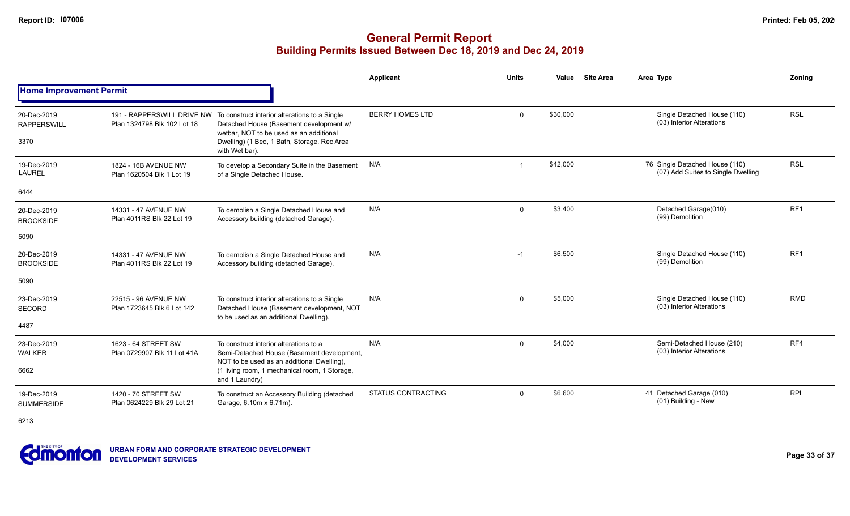|                                           |                                                    |                                                                                                                                                                                                                                 | <b>Applicant</b>          | <b>Units</b>   | Value    | <b>Site Area</b> | Area Type                                                            | Zoning          |
|-------------------------------------------|----------------------------------------------------|---------------------------------------------------------------------------------------------------------------------------------------------------------------------------------------------------------------------------------|---------------------------|----------------|----------|------------------|----------------------------------------------------------------------|-----------------|
| <b>Home Improvement Permit</b>            |                                                    |                                                                                                                                                                                                                                 |                           |                |          |                  |                                                                      |                 |
| 20-Dec-2019<br><b>RAPPERSWILL</b><br>3370 | Plan 1324798 Blk 102 Lot 18                        | 191 - RAPPERSWILL DRIVE NW To construct interior alterations to a Single<br>Detached House (Basement development w/<br>wetbar, NOT to be used as an additional<br>Dwelling) (1 Bed, 1 Bath, Storage, Rec Area<br>with Wet bar). | <b>BERRY HOMES LTD</b>    | 0              | \$30,000 |                  | Single Detached House (110)<br>(03) Interior Alterations             | <b>RSL</b>      |
| 19-Dec-2019<br><b>LAUREL</b>              | 1824 - 16B AVENUE NW<br>Plan 1620504 Blk 1 Lot 19  | To develop a Secondary Suite in the Basement<br>of a Single Detached House.                                                                                                                                                     | N/A                       | $\overline{1}$ | \$42,000 |                  | 76 Single Detached House (110)<br>(07) Add Suites to Single Dwelling | <b>RSL</b>      |
| 6444                                      |                                                    |                                                                                                                                                                                                                                 |                           |                |          |                  |                                                                      |                 |
| 20-Dec-2019<br><b>BROOKSIDE</b>           | 14331 - 47 AVENUE NW<br>Plan 4011RS Blk 22 Lot 19  | To demolish a Single Detached House and<br>Accessory building (detached Garage).                                                                                                                                                | N/A                       | 0              | \$3,400  |                  | Detached Garage(010)<br>(99) Demolition                              | RF <sub>1</sub> |
| 5090                                      |                                                    |                                                                                                                                                                                                                                 |                           |                |          |                  |                                                                      |                 |
| 20-Dec-2019<br><b>BROOKSIDE</b>           | 14331 - 47 AVENUE NW<br>Plan 4011RS Blk 22 Lot 19  | To demolish a Single Detached House and<br>Accessory building (detached Garage).                                                                                                                                                | N/A                       | $-1$           | \$6,500  |                  | Single Detached House (110)<br>(99) Demolition                       | RF <sub>1</sub> |
| 5090                                      |                                                    |                                                                                                                                                                                                                                 |                           |                |          |                  |                                                                      |                 |
| 23-Dec-2019<br><b>SECORD</b>              | 22515 - 96 AVENUE NW<br>Plan 1723645 Blk 6 Lot 142 | To construct interior alterations to a Single<br>Detached House (Basement development, NOT<br>to be used as an additional Dwelling).                                                                                            | N/A                       | $\mathbf 0$    | \$5,000  |                  | Single Detached House (110)<br>(03) Interior Alterations             | <b>RMD</b>      |
| 4487                                      |                                                    |                                                                                                                                                                                                                                 |                           |                |          |                  |                                                                      |                 |
| 23-Dec-2019<br><b>WALKER</b>              | 1623 - 64 STREET SW<br>Plan 0729907 Blk 11 Lot 41A | To construct interior alterations to a<br>Semi-Detached House (Basement development,<br>NOT to be used as an additional Dwelling),                                                                                              | N/A                       | $\mathbf 0$    | \$4,000  |                  | Semi-Detached House (210)<br>(03) Interior Alterations               | RF4             |
| 6662                                      |                                                    | (1 living room, 1 mechanical room, 1 Storage,<br>and 1 Laundry)                                                                                                                                                                 |                           |                |          |                  |                                                                      |                 |
| 19-Dec-2019<br><b>SUMMERSIDE</b>          | 1420 - 70 STREET SW<br>Plan 0624229 Blk 29 Lot 21  | To construct an Accessory Building (detached<br>Garage, 6.10m x 6.71m).                                                                                                                                                         | <b>STATUS CONTRACTING</b> | $\mathbf 0$    | \$6,600  |                  | 41 Detached Garage (010)<br>(01) Building - New                      | <b>RPL</b>      |
| 6213                                      |                                                    |                                                                                                                                                                                                                                 |                           |                |          |                  |                                                                      |                 |

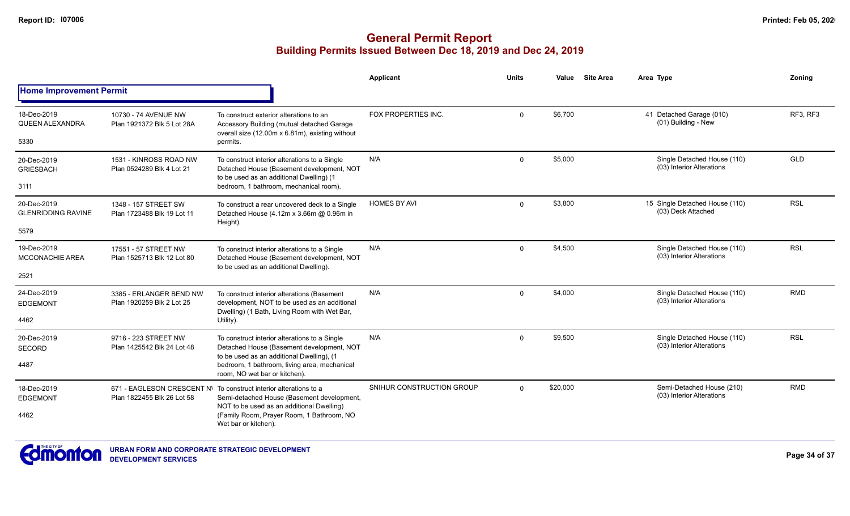|                                                  |                                                      |                                                                                                                                                                                                                                   | <b>Applicant</b>          | <b>Units</b> | Value    | <b>Site Area</b> | Area Type                                                | Zonina     |
|--------------------------------------------------|------------------------------------------------------|-----------------------------------------------------------------------------------------------------------------------------------------------------------------------------------------------------------------------------------|---------------------------|--------------|----------|------------------|----------------------------------------------------------|------------|
| <b>Home Improvement Permit</b>                   |                                                      |                                                                                                                                                                                                                                   |                           |              |          |                  |                                                          |            |
| 18-Dec-2019<br><b>QUEEN ALEXANDRA</b><br>5330    | 10730 - 74 AVENUE NW<br>Plan 1921372 Blk 5 Lot 28A   | To construct exterior alterations to an<br>Accessory Building (mutual detached Garage<br>overall size (12.00m x 6.81m), existing without<br>permits.                                                                              | FOX PROPERTIES INC.       | $\mathbf 0$  | \$6,700  |                  | 41 Detached Garage (010)<br>(01) Building - New          | RF3, RF3   |
| 20-Dec-2019<br><b>GRIESBACH</b><br>3111          | 1531 - KINROSS ROAD NW<br>Plan 0524289 Blk 4 Lot 21  | To construct interior alterations to a Single<br>Detached House (Basement development, NOT<br>to be used as an additional Dwelling) (1<br>bedroom, 1 bathroom, mechanical room).                                                  | N/A                       | $\Omega$     | \$5,000  |                  | Single Detached House (110)<br>(03) Interior Alterations | GLD        |
| 20-Dec-2019<br><b>GLENRIDDING RAVINE</b><br>5579 | 1348 - 157 STREET SW<br>Plan 1723488 Blk 19 Lot 11   | To construct a rear uncovered deck to a Single<br>Detached House (4.12m x 3.66m @ 0.96m in<br>Height).                                                                                                                            | <b>HOMES BY AVI</b>       | $\mathbf 0$  | \$3,800  |                  | 15 Single Detached House (110)<br>(03) Deck Attached     | <b>RSL</b> |
| 19-Dec-2019<br><b>MCCONACHIE AREA</b><br>2521    | 17551 - 57 STREET NW<br>Plan 1525713 Blk 12 Lot 80   | To construct interior alterations to a Single<br>Detached House (Basement development, NOT<br>to be used as an additional Dwelling).                                                                                              | N/A                       | $\mathbf 0$  | \$4,500  |                  | Single Detached House (110)<br>(03) Interior Alterations | <b>RSL</b> |
| 24-Dec-2019<br><b>EDGEMONT</b><br>4462           | 3385 - ERLANGER BEND NW<br>Plan 1920259 Blk 2 Lot 25 | To construct interior alterations (Basement<br>development, NOT to be used as an additional<br>Dwelling) (1 Bath, Living Room with Wet Bar,<br>Utility).                                                                          | N/A                       | $\Omega$     | \$4,000  |                  | Single Detached House (110)<br>(03) Interior Alterations | <b>RMD</b> |
| 20-Dec-2019<br><b>SECORD</b><br>4487             | 9716 - 223 STREET NW<br>Plan 1425542 Blk 24 Lot 48   | To construct interior alterations to a Single<br>Detached House (Basement development, NOT<br>to be used as an additional Dwelling), (1<br>bedroom, 1 bathroom, living area, mechanical<br>room, NO wet bar or kitchen).          | N/A                       | $\mathbf 0$  | \$9,500  |                  | Single Detached House (110)<br>(03) Interior Alterations | <b>RSL</b> |
| 18-Dec-2019<br><b>EDGEMONT</b><br>4462           | Plan 1822455 Blk 26 Lot 58                           | 671 - EAGLESON CRESCENT N\ To construct interior alterations to a<br>Semi-detached House (Basement development,<br>NOT to be used as an additional Dwelling)<br>(Family Room, Prayer Room, 1 Bathroom, NO<br>Wet bar or kitchen). | SNIHUR CONSTRUCTION GROUP | $\Omega$     | \$20,000 |                  | Semi-Detached House (210)<br>(03) Interior Alterations   | <b>RMD</b> |

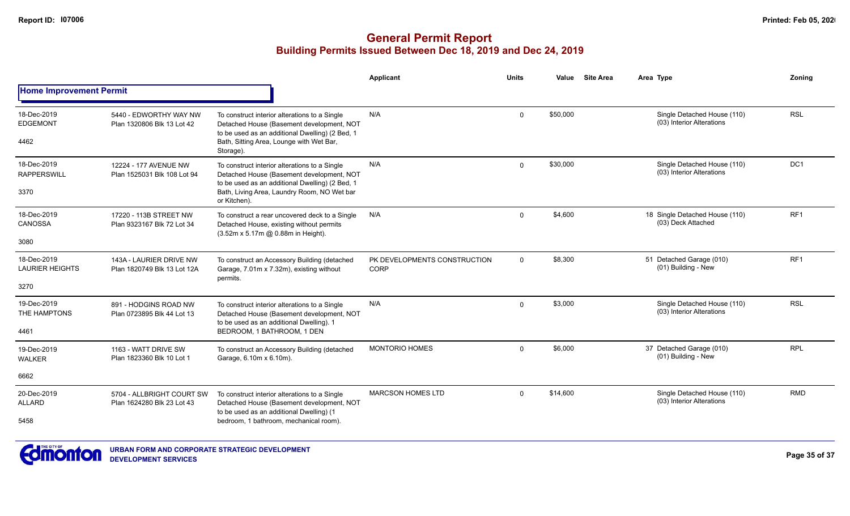|                                        |                                                         |                                                                                                                                                                                           | <b>Applicant</b>                            | <b>Units</b>   | Value    | <b>Site Area</b> | Area Type                                                | Zonina                                                                            |
|----------------------------------------|---------------------------------------------------------|-------------------------------------------------------------------------------------------------------------------------------------------------------------------------------------------|---------------------------------------------|----------------|----------|------------------|----------------------------------------------------------|-----------------------------------------------------------------------------------|
| <b>Home Improvement Permit</b>         |                                                         |                                                                                                                                                                                           |                                             |                |          |                  |                                                          | <b>RSL</b><br>DC <sub>1</sub><br>RF <sub>1</sub><br>RF <sub>1</sub><br><b>RSL</b> |
| 18-Dec-2019<br><b>EDGEMONT</b><br>4462 | 5440 - EDWORTHY WAY NW<br>Plan 1320806 Blk 13 Lot 42    | To construct interior alterations to a Single<br>Detached House (Basement development, NOT<br>to be used as an additional Dwelling) (2 Bed, 1<br>Bath, Sitting Area, Lounge with Wet Bar, | N/A                                         | $\mathbf 0$    | \$50,000 |                  | Single Detached House (110)<br>(03) Interior Alterations |                                                                                   |
|                                        |                                                         | Storage).                                                                                                                                                                                 |                                             |                |          |                  |                                                          |                                                                                   |
| 18-Dec-2019<br><b>RAPPERSWILL</b>      | 12224 - 177 AVENUE NW<br>Plan 1525031 Blk 108 Lot 94    | To construct interior alterations to a Single<br>Detached House (Basement development, NOT<br>to be used as an additional Dwelling) (2 Bed, 1                                             | N/A                                         | $\mathbf 0$    | \$30,000 |                  | Single Detached House (110)<br>(03) Interior Alterations |                                                                                   |
| 3370                                   |                                                         | Bath, Living Area, Laundry Room, NO Wet bar<br>or Kitchen).<br>To construct a rear uncovered deck to a Single                                                                             |                                             |                |          |                  |                                                          |                                                                                   |
| 18-Dec-2019<br><b>CANOSSA</b>          | 17220 - 113B STREET NW<br>Plan 9323167 Blk 72 Lot 34    | Detached House, existing without permits                                                                                                                                                  | N/A                                         | $\Omega$       | \$4,600  |                  | 18 Single Detached House (110)<br>(03) Deck Attached     |                                                                                   |
| 3080                                   |                                                         | (3.52m x 5.17m @ 0.88m in Height).                                                                                                                                                        |                                             |                |          |                  |                                                          |                                                                                   |
| 18-Dec-2019<br><b>LAURIER HEIGHTS</b>  | 143A - LAURIER DRIVE NW<br>Plan 1820749 Blk 13 Lot 12A  | To construct an Accessory Building (detached<br>Garage, 7.01m x 7.32m), existing without<br>permits.                                                                                      | PK DEVELOPMENTS CONSTRUCTION<br><b>CORP</b> | $\overline{0}$ | \$8,300  |                  | 51 Detached Garage (010)<br>(01) Building - New          |                                                                                   |
| 3270                                   |                                                         |                                                                                                                                                                                           |                                             |                |          |                  |                                                          |                                                                                   |
| 19-Dec-2019<br>THE HAMPTONS            | 891 - HODGINS ROAD NW<br>Plan 0723895 Blk 44 Lot 13     | To construct interior alterations to a Single<br>Detached House (Basement development, NOT<br>to be used as an additional Dwelling). 1                                                    | N/A                                         | $\Omega$       | \$3,000  |                  | Single Detached House (110)<br>(03) Interior Alterations |                                                                                   |
| 4461                                   |                                                         | BEDROOM, 1 BATHROOM, 1 DEN                                                                                                                                                                |                                             |                |          |                  |                                                          |                                                                                   |
| 19-Dec-2019<br><b>WALKER</b>           | 1163 - WATT DRIVE SW<br>Plan 1823360 Blk 10 Lot 1       | To construct an Accessory Building (detached<br>Garage, 6.10m x 6.10m).                                                                                                                   | <b>MONTORIO HOMES</b>                       | $\Omega$       | \$6,000  |                  | 37 Detached Garage (010)<br>(01) Building - New          | <b>RPL</b>                                                                        |
| 6662                                   |                                                         |                                                                                                                                                                                           |                                             |                |          |                  |                                                          |                                                                                   |
| 20-Dec-2019<br><b>ALLARD</b>           | 5704 - ALLBRIGHT COURT SW<br>Plan 1624280 Blk 23 Lot 43 | To construct interior alterations to a Single<br>Detached House (Basement development, NOT<br>to be used as an additional Dwelling) (1                                                    | <b>MARCSON HOMES LTD</b>                    | $\mathbf{0}$   | \$14,600 |                  | Single Detached House (110)<br>(03) Interior Alterations | <b>RMD</b>                                                                        |
| 5458                                   |                                                         | bedroom, 1 bathroom, mechanical room).                                                                                                                                                    |                                             |                |          |                  |                                                          |                                                                                   |

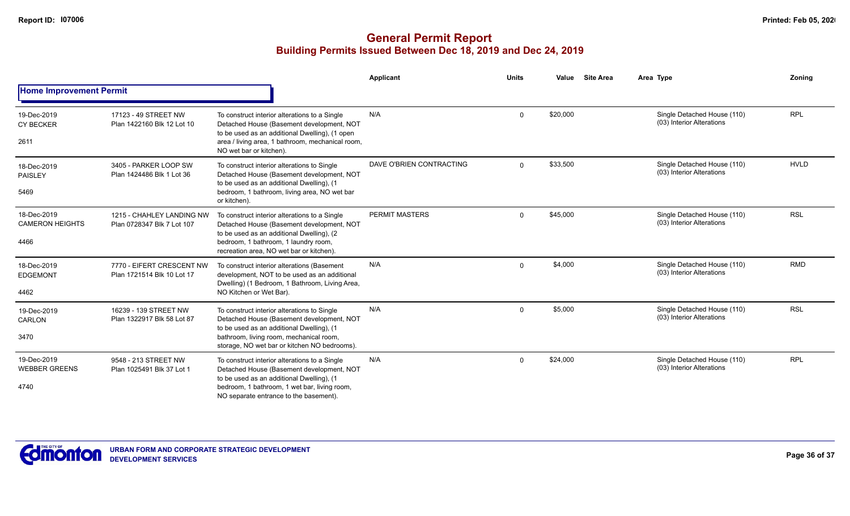|                                               |                                                         |                                                                                                                                                                                                                                   | Applicant                | <b>Units</b> | Value    | <b>Site Area</b> | Area Type                                                | Zoning      |
|-----------------------------------------------|---------------------------------------------------------|-----------------------------------------------------------------------------------------------------------------------------------------------------------------------------------------------------------------------------------|--------------------------|--------------|----------|------------------|----------------------------------------------------------|-------------|
| <b>Home Improvement Permit</b>                |                                                         |                                                                                                                                                                                                                                   |                          |              |          |                  |                                                          |             |
| 19-Dec-2019<br><b>CY BECKER</b><br>2611       | 17123 - 49 STREET NW<br>Plan 1422160 Blk 12 Lot 10      | To construct interior alterations to a Single<br>Detached House (Basement development, NOT<br>to be used as an additional Dwelling), (1 open<br>area / living area, 1 bathroom, mechanical room,<br>NO wet bar or kitchen).       | N/A                      | $\Omega$     | \$20,000 |                  | Single Detached House (110)<br>(03) Interior Alterations | <b>RPL</b>  |
| 18-Dec-2019<br>PAISLEY<br>5469                | 3405 - PARKER LOOP SW<br>Plan 1424486 Blk 1 Lot 36      | To construct interior alterations to Single<br>Detached House (Basement development, NOT<br>to be used as an additional Dwelling), (1<br>bedroom, 1 bathroom, living area, NO wet bar<br>or kitchen).                             | DAVE O'BRIEN CONTRACTING | $\Omega$     | \$33,500 |                  | Single Detached House (110)<br>(03) Interior Alterations | <b>HVLD</b> |
| 18-Dec-2019<br><b>CAMERON HEIGHTS</b><br>4466 | 1215 - CHAHLEY LANDING NW<br>Plan 0728347 Blk 7 Lot 107 | To construct interior alterations to a Single<br>Detached House (Basement development, NOT<br>to be used as an additional Dwelling), (2<br>bedroom, 1 bathroom, 1 laundry room,<br>recreation area, NO wet bar or kitchen).       | <b>PERMIT MASTERS</b>    | $\Omega$     | \$45,000 |                  | Single Detached House (110)<br>(03) Interior Alterations | <b>RSL</b>  |
| 18-Dec-2019<br><b>EDGEMONT</b><br>4462        | 7770 - EIFERT CRESCENT NW<br>Plan 1721514 Blk 10 Lot 17 | To construct interior alterations (Basement<br>development, NOT to be used as an additional<br>Dwelling) (1 Bedroom, 1 Bathroom, Living Area,<br>NO Kitchen or Wet Bar).                                                          | N/A                      | $\Omega$     | \$4,000  |                  | Single Detached House (110)<br>(03) Interior Alterations | <b>RMD</b>  |
| 19-Dec-2019<br>CARLON<br>3470                 | 16239 - 139 STREET NW<br>Plan 1322917 Blk 58 Lot 87     | To construct interior alterations to Single<br>Detached House (Basement development, NOT<br>to be used as an additional Dwelling), (1<br>bathroom, living room, mechanical room,<br>storage, NO wet bar or kitchen NO bedrooms).  | N/A                      | $\Omega$     | \$5,000  |                  | Single Detached House (110)<br>(03) Interior Alterations | <b>RSL</b>  |
| 19-Dec-2019<br><b>WEBBER GREENS</b><br>4740   | 9548 - 213 STREET NW<br>Plan 1025491 Blk 37 Lot 1       | To construct interior alterations to a Single<br>Detached House (Basement development, NOT<br>to be used as an additional Dwelling), (1<br>bedroom, 1 bathroom, 1 wet bar, living room,<br>NO separate entrance to the basement). | N/A                      | $\Omega$     | \$24,000 |                  | Single Detached House (110)<br>(03) Interior Alterations | <b>RPL</b>  |